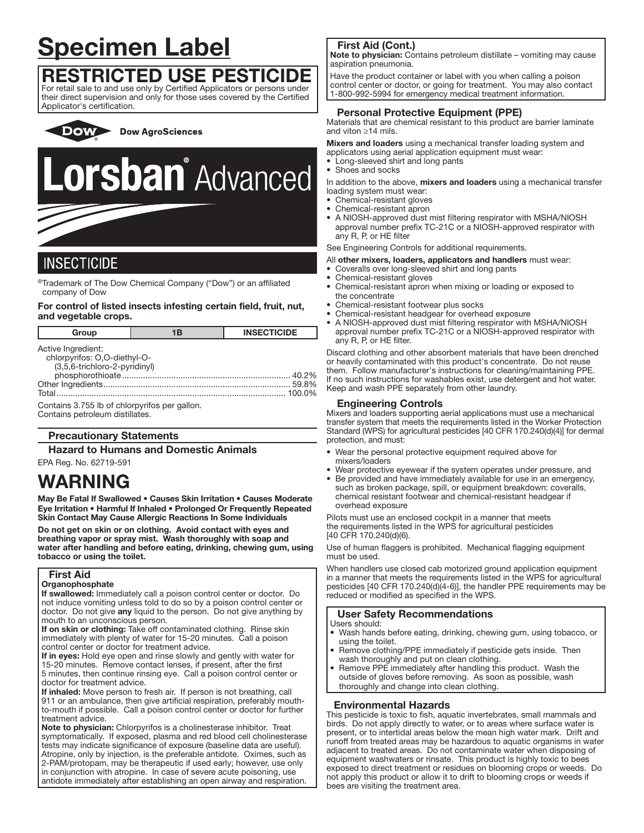# Specimen Label

# RESTRICTED USE PESTICIDE

For retail sale to and use only by Certified Applicators or persons under their direct supervision and only for those uses covered by the Certified Applicator's certification.

**Dow AgroSciences** DOW >

# **Lorsban** Advanced

# **INSECTICIDE**

® Trademark of The Dow Chemical Company ("Dow") or an affiliated company of Dow

# For control of listed insects infesting certain field, fruit, nut, and vegetable crops.

| Group                                                                               | 1B | <b>INSECTICIDE</b> |
|-------------------------------------------------------------------------------------|----|--------------------|
| Active Ingredient:<br>chlorpyrifos: O,O-diethyl-O-<br>(3,5,6-trichloro-2-pyridinyl) |    | 40.2%              |
|                                                                                     |    | 59.8%<br>.100.0%   |
| Contains 3.755 lb of chlorpyrifos per gallon.                                       |    |                    |

Contains petroleum distillates.

# Precautionary Statements

Hazard to Humans and Domestic Animals

# EPA Reg. No. 62719-591

# WARNING

May Be Fatal If Swallowed • Causes Skin Irritation • Causes Moderate Eye Irritation • Harmful If Inhaled • Prolonged Or Frequently Repeated Skin Contact May Cause Allergic Reactions In Some Individuals

Do not get on skin or on clothing. Avoid contact with eyes and breathing vapor or spray mist. Wash thoroughly with soap and water after handling and before eating, drinking, chewing gum, using tobacco or using the toilet.

# First Aid

#### **Organophosphate**

If swallowed: Immediately call a poison control center or doctor. Do not induce vomiting unless told to do so by a poison control center or doctor. Do not give any liquid to the person. Do not give anything by mouth to an unconscious person.

If on skin or clothing: Take off contaminated clothing. Rinse skin immediately with plenty of water for 15-20 minutes. Call a poison control center or doctor for treatment advice.

If in eyes: Hold eye open and rinse slowly and gently with water for 15-20 minutes. Remove contact lenses, if present, after the first 5 minutes, then continue rinsing eye. Call a poison control center or doctor for treatment advice.

If inhaled: Move person to fresh air. If person is not breathing, call 911 or an ambulance, then give artificial respiration, preferably mouthto-mouth if possible. Call a poison control center or doctor for further treatment advice.

Note to physician: Chlorpyrifos is a cholinesterase inhibitor. Treat symptomatically. If exposed, plasma and red blood cell cholinesterase tests may indicate significance of exposure (baseline data are useful). Atropine, only by injection, is the preferable antidote. Oximes, such as 2-PAM/protopam, may be therapeutic if used early; however, use only in conjunction with atropine. In case of severe acute poisoning, use antidote immediately after establishing an open airway and respiration.

# First Aid (Cont.)

Note to physician: Contains petroleum distillate - vomiting may cause aspiration pneumonia.

Have the product container or label with you when calling a poison control center or doctor, or going for treatment. You may also contact 1-800-992-5994 for emergency medical treatment information. ֧֖֚֕֕

# Personal Protective Equipment (PPE)

Materials that are chemical resistant to this product are barrier laminate and viton ≥14 mils.

Mixers and loaders using a mechanical transfer loading system and applicators using aerial application equipment must wear:

- Long-sleeved shirt and long pants
- Shoes and socks

In addition to the above, mixers and loaders using a mechanical transfer loading system must wear:

- Chemical-resistant gloves
- Chemical-resistant apron
- A NIOSH-approved dust mist filtering respirator with MSHA/NIOSH approval number prefix TC-21C or a NIOSH-approved respirator with any R, P, or HE filter

See Engineering Controls for additional requirements.

All other mixers, loaders, applicators and handlers must wear:

- Coveralls over long-sleeved shirt and long pants
- Chemical-resistant gloves
- Chemical-resistant apron when mixing or loading or exposed to the concentrate
- Chemical-resistant footwear plus socks
- Chemical-resistant headgear for overhead exposure
- A NIOSH-approved dust mist filtering respirator with MSHA/NIOSH approval number prefix TC-21C or a NIOSH-approved respirator with any R, P, or HE filter.

Discard clothing and other absorbent materials that have been drenched or heavily contaminated with this product's concentrate. Do not reuse them. Follow manufacturer's instructions for cleaning/maintaining PPE. If no such instructions for washables exist, use detergent and hot water. Keep and wash PPE separately from other laundry.

# Engineering Controls

Mixers and loaders supporting aerial applications must use a mechanical transfer system that meets the requirements listed in the Worker Protection Standard (WPS) for agricultural pesticides [40 CFR 170.240(d)(4)] for dermal protection, and must:

- Wear the personal protective equipment required above for mixers/loaders
- Wear protective eyewear if the system operates under pressure, and
- Be provided and have immediately available for use in an emergency, such as broken package, spill, or equipment breakdown: coveralls, chemical resistant footwear and chemical-resistant headgear if overhead exposure

Pilots must use an enclosed cockpit in a manner that meets the requirements listed in the WPS for agricultural pesticides [40 CFR 170.240(d)(6).

Use of human flaggers is prohibited. Mechanical flagging equipment must be used.

When handlers use closed cab motorized ground application equipment in a manner that meets the requirements listed in the WPS for agricultural pesticides [40 CFR 170.240(d)(4-6)], the handler PPE requirements may be reduced or modified as specified in the WPS.

# User Safety Recommendations

Users should:

ļ

- Wash hands before eating, drinking, chewing gum, using tobacco, or using the toilet.
- Remove clothing/PPE immediately if pesticide gets inside. Then wash thoroughly and put on clean clothing.
- Remove PPE immediately after handling this product. Wash the outside of gloves before removing. As soon as possible, wash thoroughly and change into clean clothing.

# Environmental Hazards

This pesticide is toxic to fish, aquatic invertebrates, small mammals and birds. Do not apply directly to water, or to areas where surface water is present, or to intertidal areas below the mean high water mark. Drift and runoff from treated areas may be hazardous to aquatic organisms in water adjacent to treated areas. Do not contaminate water when disposing of equipment washwaters or rinsate. This product is highly toxic to bees exposed to direct treatment or residues on blooming crops or weeds. Do not apply this product or allow it to drift to blooming crops or weeds if bees are visiting the treatment area.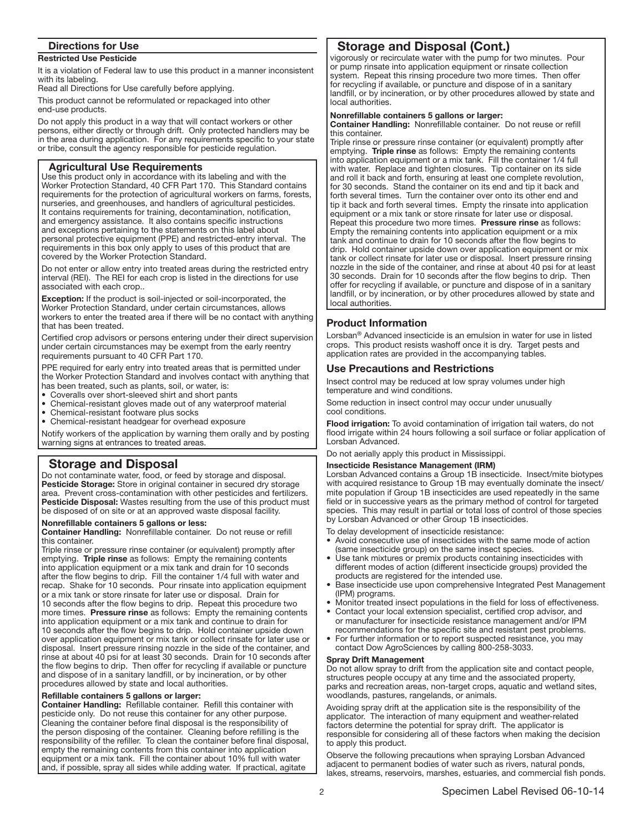# Directions for Use

# Restricted Use Pesticide

It is a violation of Federal law to use this product in a manner inconsistent with its labeling.

Read all Directions for Use carefully before applying.

This product cannot be reformulated or repackaged into other end-use products.

Do not apply this product in a way that will contact workers or other persons, either directly or through drift. Only protected handlers may be in the area during application. For any requirements specific to your state or tribe, consult the agency responsible for pesticide regulation.

# Agricultural Use Requirements

Use this product only in accordance with its labeling and with the Worker Protection Standard, 40 CFR Part 170. This Standard contains requirements for the protection of agricultural workers on farms, forests, nurseries, and greenhouses, and handlers of agricultural pesticides. It contains requirements for training, decontamination, notification, and emergency assistance. It also contains specific instructions and exceptions pertaining to the statements on this label about personal protective equipment (PPE) and restricted-entry interval. The requirements in this box only apply to uses of this product that are covered by the Worker Protection Standard.

Do not enter or allow entry into treated areas during the restricted entry interval (REI). The REI for each crop is listed in the directions for use associated with each crop..

Exception: If the product is soil-injected or soil-incorporated, the Worker Protection Standard, under certain circumstances, allows workers to enter the treated area if there will be no contact with anything that has been treated.

Certified crop advisors or persons entering under their direct supervision under certain circumstances may be exempt from the early reentry requirements pursuant to 40 CFR Part 170.

PPE required for early entry into treated areas that is permitted under the Worker Protection Standard and involves contact with anything that has been treated, such as plants, soil, or water, is:

- Coveralls over short-sleeved shirt and short pants
- Chemical-resistant gloves made out of any waterproof material
- Chemical-resistant footware plus socks
- Chemical-resistant headgear for overhead exposure

Notify workers of the application by warning them orally and by posting warning signs at entrances to treated areas.

# Storage and Disposal

֧֖֚֕֕

Do not contaminate water, food, or feed by storage and disposal. Pesticide Storage: Store in original container in secured dry storage area. Prevent cross-contamination with other pesticides and fertilizers. Pesticide Disposal: Wastes resulting from the use of this product must be disposed of on site or at an approved waste disposal facility.

### Nonrefillable containers 5 gallons or less:

Container Handling: Nonrefillable container. Do not reuse or refill this container.

Triple rinse or pressure rinse container (or equivalent) promptly after emptying. Triple rinse as follows: Empty the remaining contents into application equipment or a mix tank and drain for 10 seconds after the flow begins to drip. Fill the container 1/4 full with water and recap. Shake for 10 seconds. Pour rinsate into application equipment or a mix tank or store rinsate for later use or disposal. Drain for 10 seconds after the flow begins to drip. Repeat this procedure two more times. Pressure rinse as follows: Empty the remaining contents into application equipment or a mix tank and continue to drain for 10 seconds after the flow begins to drip. Hold container upside down over application equipment or mix tank or collect rinsate for later use or disposal. Insert pressure rinsing nozzle in the side of the container, and rinse at about 40 psi for at least 30 seconds. Drain for 10 seconds after the flow begins to drip. Then offer for recycling if available or puncture and dispose of in a sanitary landfill, or by incineration, or by other procedures allowed by state and local authorities.

# Refillable containers 5 gallons or larger:

Container Handling: Refillable container. Refill this container with pesticide only. Do not reuse this container for any other purpose. Cleaning the container before final disposal is the responsibility of the person disposing of the container. Cleaning before refilling is the responsibility of the refiller. To clean the container before final disposal, empty the remaining contents from this container into application equipment or a mix tank. Fill the container about 10% full with water and, if possible, spray all sides while adding water. If practical, agitate

# Storage and Disposal (Cont.)

vigorously or recirculate water with the pump for two minutes. Pour or pump rinsate into application equipment or rinsate collection system. Repeat this rinsing procedure two more times. Then offer for recycling if available, or puncture and dispose of in a sanitary landfill, or by incineration, or by other procedures allowed by state and local authorities.

#### Nonrefillable containers 5 gallons or larger:

Container Handling: Nonrefillable container. Do not reuse or refill this container.

Triple rinse or pressure rinse container (or equivalent) promptly after emptying. Triple rinse as follows: Empty the remaining contents into application equipment or a mix tank. Fill the container 1/4 full with water. Replace and tighten closures. Tip container on its side and roll it back and forth, ensuring at least one complete revolution, for 30 seconds. Stand the container on its end and tip it back and forth several times. Turn the container over onto its other end and tip it back and forth several times. Empty the rinsate into application equipment or a mix tank or store rinsate for later use or disposal. Repeat this procedure two more times. Pressure rinse as follows: Empty the remaining contents into application equipment or a mix tank and continue to drain for 10 seconds after the flow begins to drip. Hold container upside down over application equipment or mix tank or collect rinsate for later use or disposal. Insert pressure rinsing nozzle in the side of the container, and rinse at about 40 psi for at least 30 seconds. Drain for 10 seconds after the flow begins to drip. Then offer for recycling if available, or puncture and dispose of in a sanitary landfill, or by incineration, or by other procedures allowed by state and local authorities.

# Product Information

j

Lorsban® Advanced insecticide is an emulsion in water for use in listed crops. This product resists washoff once it is dry. Target pests and application rates are provided in the accompanying tables.

# Use Precautions and Restrictions

Insect control may be reduced at low spray volumes under high temperature and wind conditions.

Some reduction in insect control may occur under unusually cool conditions.

Flood irrigation: To avoid contamination of irrigation tail waters, do not flood irrigate within 24 hours following a soil surface or foliar application of Lorsban Advanced.

Do not aerially apply this product in Mississippi.

#### Insecticide Resistance Management (IRM)

Lorsban Advanced contains a Group 1B insecticide. Insect/mite biotypes with acquired resistance to Group 1B may eventually dominate the insect/ mite population if Group 1B insecticides are used repeatedly in the same field or in successive years as the primary method of control for targeted species. This may result in partial or total loss of control of those species by Lorsban Advanced or other Group 1B insecticides.

To delay development of insecticide resistance:

- Avoid consecutive use of insecticides with the same mode of action (same insecticide group) on the same insect species.
- Use tank mixtures or premix products containing insecticides with different modes of action (different insecticide groups) provided the products are registered for the intended use.
- Base insecticide use upon comprehensive Integrated Pest Management (IPM) programs.
- Monitor treated insect populations in the field for loss of effectiveness. • Contact your local extension specialist, certified crop advisor, and
- or manufacturer for insecticide resistance management and/or IPM recommendations for the specific site and resistant pest problems.
- For further information or to report suspected resistance, you may contact Dow AgroSciences by calling 800-258-3033.

#### Spray Drift Management

Do not allow spray to drift from the application site and contact people, structures people occupy at any time and the associated property, parks and recreation areas, non-target crops, aquatic and wetland sites, woodlands, pastures, rangelands, or animals.

Avoiding spray drift at the application site is the responsibility of the applicator. The interaction of many equipment and weather-related factors determine the potential for spray drift. The applicator is responsible for considering all of these factors when making the decision to apply this product.

Observe the following precautions when spraying Lorsban Advanced adjacent to permanent bodies of water such as rivers, natural ponds, lakes, streams, reservoirs, marshes, estuaries, and commercial fish ponds.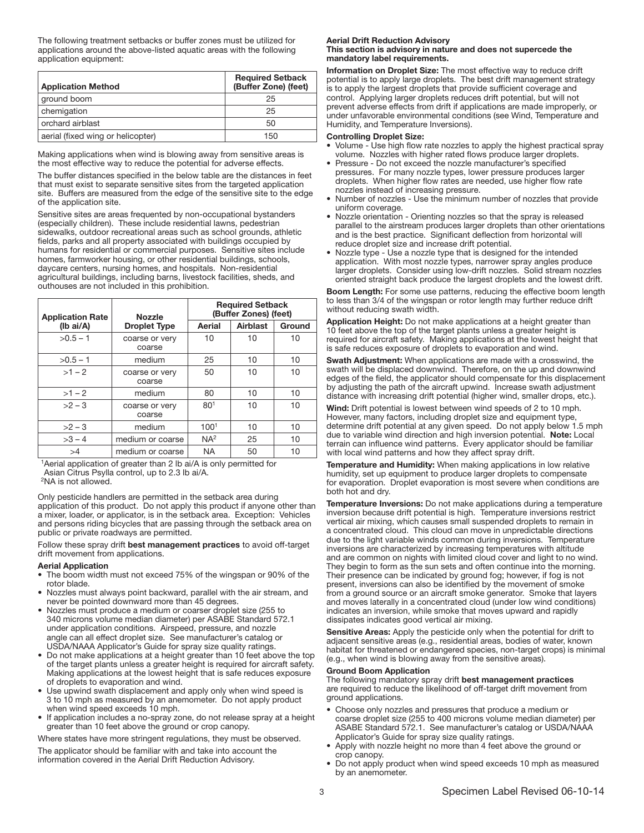The following treatment setbacks or buffer zones must be utilized for applications around the above-listed aquatic areas with the following application equipment:

| <b>Application Method</b>         | <b>Required Setback</b><br>(Buffer Zone) (feet) |
|-----------------------------------|-------------------------------------------------|
| ground boom                       | 25                                              |
| chemigation                       | 25                                              |
| orchard airblast                  | 50                                              |
| aerial (fixed wing or helicopter) | 150                                             |
|                                   |                                                 |

Making applications when wind is blowing away from sensitive areas is the most effective way to reduce the potential for adverse effects.

The buffer distances specified in the below table are the distances in feet that must exist to separate sensitive sites from the targeted application site. Buffers are measured from the edge of the sensitive site to the edge of the application site.

Sensitive sites are areas frequented by non-occupational bystanders (especially children). These include residential lawns, pedestrian sidewalks, outdoor recreational areas such as school grounds, athletic fields, parks and all property associated with buildings occupied by humans for residential or commercial purposes. Sensitive sites include homes, farmworker housing, or other residential buildings, schools, daycare centers, nursing homes, and hospitals. Non-residential agricultural buildings, including barns, livestock facilities, sheds, and outhouses are not included in this prohibition.

| <b>Application Rate</b> | <b>Nozzle</b>            |                  | <b>Required Setback</b><br>(Buffer Zones) (feet) |        |
|-------------------------|--------------------------|------------------|--------------------------------------------------|--------|
| $(Ib\text{ ai/A})$      | <b>Droplet Type</b>      | Aerial           | Airblast                                         | Ground |
| $>0.5 - 1$              | coarse or very<br>coarse | 10               | 10                                               | 10     |
| $>0.5 - 1$              | medium                   | 25               | 10                                               | 10     |
| $>1 - 2$                | coarse or very<br>coarse | 50               | 10                                               | 10     |
| $>1 - 2$                | medium                   | 80               | 10                                               | 10     |
| $>2-3$                  | coarse or very<br>coarse | 80 <sup>1</sup>  | 10                                               | 10     |
| $>2-3$                  | medium                   | 100 <sup>1</sup> | 10                                               | 10     |
| $>3 - 4$                | medium or coarse         | NA <sup>2</sup>  | 25                                               | 10     |
| >4                      | medium or coarse         | <b>NA</b>        | 50                                               | 10     |

<sup>1</sup> Aerial application of greater than 2 lb ai/A is only permitted for Asian Citrus Psylla control, up to 2.3 lb ai/A.

<sup>2</sup>NA is not allowed.

Only pesticide handlers are permitted in the setback area during application of this product. Do not apply this product if anyone other than a mixer, loader, or applicator, is in the setback area. Exception: Vehicles and persons riding bicycles that are passing through the setback area on public or private roadways are permitted.

Follow these spray drift best management practices to avoid off-target drift movement from applications.

#### Aerial Application

- The boom width must not exceed 75% of the wingspan or 90% of the rotor blade.
- Nozzles must always point backward, parallel with the air stream, and never be pointed downward more than 45 degrees.
- Nozzles must produce a medium or coarser droplet size (255 to 340 microns volume median diameter) per ASABE Standard 572.1 under application conditions. Airspeed, pressure, and nozzle angle can all effect droplet size. See manufacturer's catalog or USDA/NAAA Applicator's Guide for spray size quality ratings.
- Do not make applications at a height greater than 10 feet above the top of the target plants unless a greater height is required for aircraft safety. Making applications at the lowest height that is safe reduces exposure of droplets to evaporation and wind.
- Use upwind swath displacement and apply only when wind speed is 3 to 10 mph as measured by an anemometer. Do not apply product when wind speed exceeds 10 mph.
- If application includes a no-spray zone, do not release spray at a height greater than 10 feet above the ground or crop canopy.

Where states have more stringent regulations, they must be observed.

The applicator should be familiar with and take into account the information covered in the Aerial Drift Reduction Advisory.

#### Aerial Drift Reduction Advisory

## This section is advisory in nature and does not supercede the mandatory label requirements.

Information on Droplet Size: The most effective way to reduce drift potential is to apply large droplets. The best drift management strategy is to apply the largest droplets that provide sufficient coverage and control. Applying larger droplets reduces drift potential, but will not prevent adverse effects from drift if applications are made improperly, or under unfavorable environmental conditions (see Wind, Temperature and Humidity, and Temperature Inversions).

#### Controlling Droplet Size:

- Volume Use high flow rate nozzles to apply the highest practical spray volume. Nozzles with higher rated flows produce larger droplets.
- Pressure Do not exceed the nozzle manufacturer's specified pressures. For many nozzle types, lower pressure produces larger droplets. When higher flow rates are needed, use higher flow rate nozzles instead of increasing pressure.
- Number of nozzles Use the minimum number of nozzles that provide uniform coverage.
- Nozzle orientation Orienting nozzles so that the spray is released parallel to the airstream produces larger droplets than other orientations and is the best practice. Significant deflection from horizontal will reduce droplet size and increase drift potential.
- Nozzle type Use a nozzle type that is designed for the intended application. With most nozzle types, narrower spray angles produce larger droplets. Consider using low-drift nozzles. Solid stream nozzles oriented straight back produce the largest droplets and the lowest drift.

Boom Length: For some use patterns, reducing the effective boom length to less than 3/4 of the wingspan or rotor length may further reduce drift without reducing swath width.

Application Height: Do not make applications at a height greater than 10 feet above the top of the target plants unless a greater height is required for aircraft safety. Making applications at the lowest height that is safe reduces exposure of droplets to evaporation and wind.

Swath Adjustment: When applications are made with a crosswind, the swath will be displaced downwind. Therefore, on the up and downwind edges of the field, the applicator should compensate for this displacement by adjusting the path of the aircraft upwind. Increase swath adjustment distance with increasing drift potential (higher wind, smaller drops, etc.).

Wind: Drift potential is lowest between wind speeds of 2 to 10 mph. However, many factors, including droplet size and equipment type, determine drift potential at any given speed. Do not apply below 1.5 mph due to variable wind direction and high inversion potential. Note: Local terrain can influence wind patterns. Every applicator should be familiar with local wind patterns and how they affect spray drift.

Temperature and Humidity: When making applications in low relative humidity, set up equipment to produce larger droplets to compensate for evaporation. Droplet evaporation is most severe when conditions are both hot and dry.

Temperature Inversions: Do not make applications during a temperature inversion because drift potential is high. Temperature inversions restrict vertical air mixing, which causes small suspended droplets to remain in a concentrated cloud. This cloud can move in unpredictable directions due to the light variable winds common during inversions. Temperature inversions are characterized by increasing temperatures with altitude and are common on nights with limited cloud cover and light to no wind. They begin to form as the sun sets and often continue into the morning. Their presence can be indicated by ground fog; however, if fog is not present, inversions can also be identified by the movement of smoke from a ground source or an aircraft smoke generator. Smoke that layers and moves laterally in a concentrated cloud (under low wind conditions) indicates an inversion, while smoke that moves upward and rapidly dissipates indicates good vertical air mixing.

Sensitive Areas: Apply the pesticide only when the potential for drift to adjacent sensitive areas (e.g., residential areas, bodies of water, known habitat for threatened or endangered species, non-target crops) is minimal (e.g., when wind is blowing away from the sensitive areas).

#### Ground Boom Application

The following mandatory spray drift best management practices are required to reduce the likelihood of off-target drift movement from ground applications.

- Choose only nozzles and pressures that produce a medium or coarse droplet size (255 to 400 microns volume median diameter) per ASABE Standard 572.1. See manufacturer's catalog or USDA/NAAA Applicator's Guide for spray size quality ratings.
- Apply with nozzle height no more than 4 feet above the ground or crop canopy.
- Do not apply product when wind speed exceeds 10 mph as measured by an anemometer.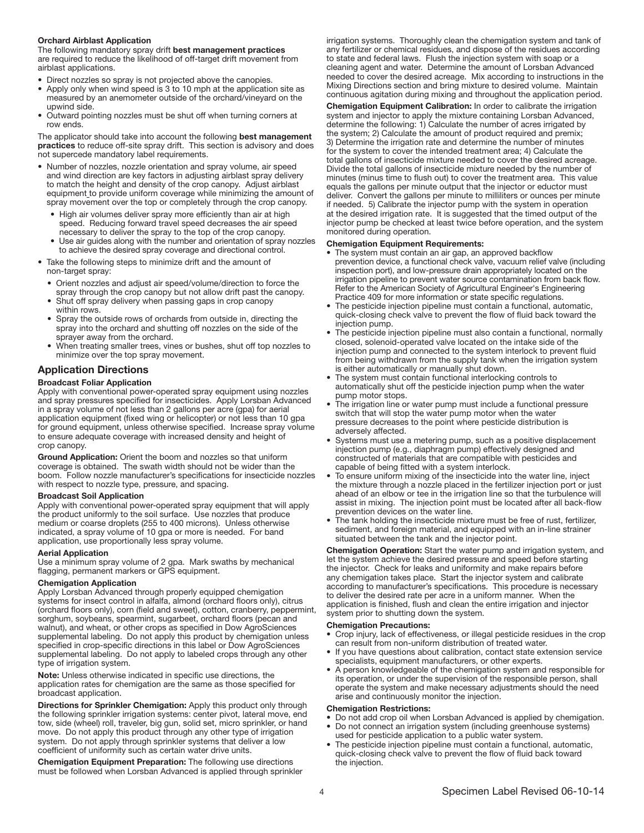#### Orchard Airblast Application

The following mandatory spray drift best management practices are required to reduce the likelihood of off-target drift movement from airblast applications.

- Direct nozzles so spray is not projected above the canopies.
- Apply only when wind speed is 3 to 10 mph at the application site as measured by an anemometer outside of the orchard/vineyard on the upwind side.
- Outward pointing nozzles must be shut off when turning corners at row ends.

The applicator should take into account the following best management practices to reduce off-site spray drift. This section is advisory and does not supercede mandatory label requirements.

- Number of nozzles, nozzle orientation and spray volume, air speed and wind direction are key factors in adjusting airblast spray delivery to match the height and density of the crop canopy. Adjust airblast equipment to provide uniform coverage while minimizing the amount of spray movement over the top or completely through the crop canopy.
	- High air volumes deliver spray more efficiently than air at high speed. Reducing forward travel speed decreases the air speed necessary to deliver the spray to the top of the crop canopy.
	- Use air guides along with the number and orientation of spray nozzles to achieve the desired spray coverage and directional control.
- Take the following steps to minimize drift and the amount of non-target spray:
	- Orient nozzles and adjust air speed/volume/direction to force the spray through the crop canopy but not allow drift past the canopy.
	- Shut off spray delivery when passing gaps in crop canopy within rows.
	- Spray the outside rows of orchards from outside in, directing the spray into the orchard and shutting off nozzles on the side of the sprayer away from the orchard.
	- When treating smaller trees, vines or bushes, shut off top nozzles to minimize over the top spray movement.

# Application Directions

#### Broadcast Foliar Application

Apply with conventional power-operated spray equipment using nozzles and spray pressures specified for insecticides. Apply Lorsban Advanced in a spray volume of not less than 2 gallons per acre (gpa) for aerial application equipment (fixed wing or helicopter) or not less than 10 gpa for ground equipment, unless otherwise specified. Increase spray volume to ensure adequate coverage with increased density and height of crop canopy.

Ground Application: Orient the boom and nozzles so that uniform coverage is obtained. The swath width should not be wider than the boom. Follow nozzle manufacturer's specifications for insecticide nozzles with respect to nozzle type, pressure, and spacing.

#### Broadcast Soil Application

Apply with conventional power-operated spray equipment that will apply the product uniformly to the soil surface. Use nozzles that produce medium or coarse droplets (255 to 400 microns). Unless otherwise indicated, a spray volume of 10 gpa or more is needed. For band application, use proportionally less spray volume.

#### Aerial Application

Use a minimum spray volume of 2 gpa. Mark swaths by mechanical flagging, permanent markers or GPS equipment.

#### Chemigation Application

Apply Lorsban Advanced through properly equipped chemigation systems for insect control in alfalfa, almond (orchard floors only), citrus (orchard floors only), corn (field and sweet), cotton, cranberry, peppermint, sorghum, soybeans, spearmint, sugarbeet, orchard floors (pecan and walnut), and wheat, or other crops as specified in Dow AgroSciences supplemental labeling. Do not apply this product by chemigation unless specified in crop-specific directions in this label or Dow AgroSciences supplemental labeling. Do not apply to labeled crops through any other type of irrigation system.

Note: Unless otherwise indicated in specific use directions, the application rates for chemigation are the same as those specified for broadcast application.

Directions for Sprinkler Chemigation: Apply this product only through the following sprinkler irrigation systems: center pivot, lateral move, end tow, side (wheel) roll, traveler, big gun, solid set, micro sprinkler, or hand move. Do not apply this product through any other type of irrigation system. Do not apply through sprinkler systems that deliver a low coefficient of uniformity such as certain water drive units.

Chemigation Equipment Preparation: The following use directions must be followed when Lorsban Advanced is applied through sprinkler irrigation systems. Thoroughly clean the chemigation system and tank of any fertilizer or chemical residues, and dispose of the residues according to state and federal laws. Flush the injection system with soap or a cleaning agent and water. Determine the amount of Lorsban Advanced needed to cover the desired acreage. Mix according to instructions in the Mixing Directions section and bring mixture to desired volume. Maintain continuous agitation during mixing and throughout the application period.

Chemigation Equipment Calibration: In order to calibrate the irrigation system and injector to apply the mixture containing Lorsban Advanced, determine the following: 1) Calculate the number of acres irrigated by the system; 2) Calculate the amount of product required and premix; 3) Determine the irrigation rate and determine the number of minutes for the system to cover the intended treatment area; 4) Calculate the total gallons of insecticide mixture needed to cover the desired acreage. Divide the total gallons of insecticide mixture needed by the number of minutes (minus time to flush out) to cover the treatment area. This value equals the gallons per minute output that the injector or eductor must deliver. Convert the gallons per minute to milliliters or ounces per minute if needed. 5) Calibrate the injector pump with the system in operation at the desired irrigation rate. It is suggested that the timed output of the injector pump be checked at least twice before operation, and the system monitored during operation.

#### Chemigation Equipment Requirements:

- The system must contain an air gap, an approved backflow prevention device, a functional check valve, vacuum relief valve (including inspection port), and low-pressure drain appropriately located on the irrigation pipeline to prevent water source contamination from back flow. Refer to the American Society of Agricultural Engineer's Engineering Practice 409 for more information or state specific regulations.
- The pesticide injection pipeline must contain a functional, automatic, quick-closing check valve to prevent the flow of fluid back toward the injection pump.
- The pesticide injection pipeline must also contain a functional, normally closed, solenoid-operated valve located on the intake side of the injection pump and connected to the system interlock to prevent fluid from being withdrawn from the supply tank when the irrigation system is either automatically or manually shut down.
- The system must contain functional interlocking controls to automatically shut off the pesticide injection pump when the water pump motor stops.
- The irrigation line or water pump must include a functional pressure switch that will stop the water pump motor when the water pressure decreases to the point where pesticide distribution is adversely affected.
- Systems must use a metering pump, such as a positive displacement injection pump (e.g., diaphragm pump) effectively designed and constructed of materials that are compatible with pesticides and capable of being fitted with a system interlock.
- To ensure uniform mixing of the insecticide into the water line, inject the mixture through a nozzle placed in the fertilizer injection port or just ahead of an elbow or tee in the irrigation line so that the turbulence will assist in mixing. The injection point must be located after all back-flow prevention devices on the water line.
- The tank holding the insecticide mixture must be free of rust, fertilizer, sediment, and foreign material, and equipped with an in-line strainer situated between the tank and the injector point.

Chemigation Operation: Start the water pump and irrigation system, and let the system achieve the desired pressure and speed before starting the injector. Check for leaks and uniformity and make repairs before any chemigation takes place. Start the injector system and calibrate according to manufacturer's specifications. This procedure is necessary to deliver the desired rate per acre in a uniform manner. When the application is finished, flush and clean the entire irrigation and injector system prior to shutting down the system.

#### Chemigation Precautions:

- Crop injury, lack of effectiveness, or illegal pesticide residues in the crop can result from non-uniform distribution of treated water.
- If you have questions about calibration, contact state extension service specialists, equipment manufacturers, or other experts.
- A person knowledgeable of the chemigation system and responsible for its operation, or under the supervision of the responsible person, shall operate the system and make necessary adjustments should the need arise and continuously monitor the injection.

#### Chemigation Restrictions:

- Do not add crop oil when Lorsban Advanced is applied by chemigation. • Do not connect an irrigation system (including greenhouse systems)
- used for pesticide application to a public water system. The pesticide injection pipeline must contain a functional, automatic, quick-closing check valve to prevent the flow of fluid back toward the injection.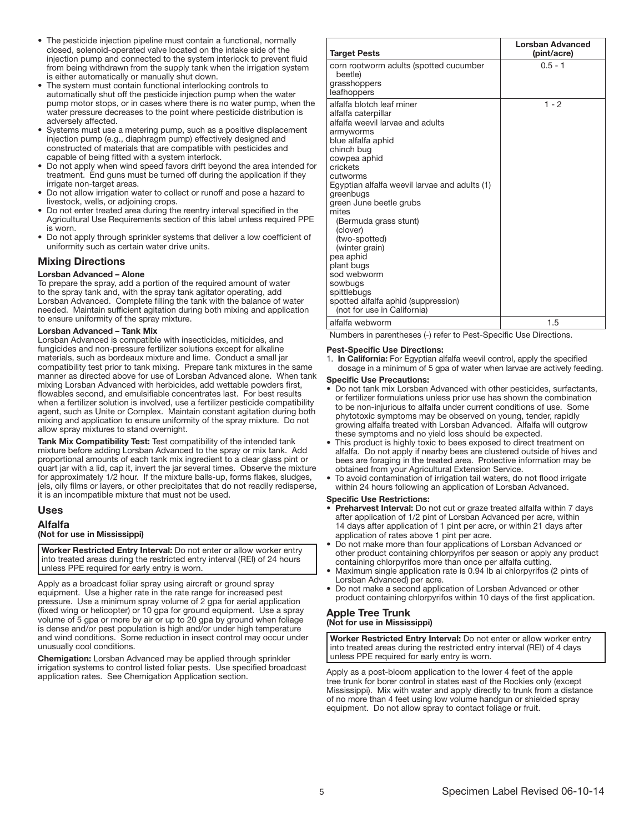- The pesticide injection pipeline must contain a functional, normally closed, solenoid-operated valve located on the intake side of the injection pump and connected to the system interlock to prevent fluid from being withdrawn from the supply tank when the irrigation system is either automatically or manually shut down.
- The system must contain functional interlocking controls to automatically shut off the pesticide injection pump when the water pump motor stops, or in cases where there is no water pump, when the water pressure decreases to the point where pesticide distribution is adversely affected.
- Systems must use a metering pump, such as a positive displacement injection pump (e.g., diaphragm pump) effectively designed and constructed of materials that are compatible with pesticides and capable of being fitted with a system interlock.
- Do not apply when wind speed favors drift beyond the area intended for treatment. End guns must be turned off during the application if they irrigate non-target areas.
- Do not allow irrigation water to collect or runoff and pose a hazard to livestock, wells, or adjoining crops.
- Do not enter treated area during the reentry interval specified in the Agricultural Use Requirements section of this label unless required PPE is worn.
- Do not apply through sprinkler systems that deliver a low coefficient of uniformity such as certain water drive units.

# Mixing Directions

#### Lorsban Advanced – Alone

To prepare the spray, add a portion of the required amount of water to the spray tank and, with the spray tank agitator operating, add Lorsban Advanced. Complete filling the tank with the balance of water needed. Maintain sufficient agitation during both mixing and application to ensure uniformity of the spray mixture.

#### Lorsban Advanced – Tank Mix

Lorsban Advanced is compatible with insecticides, miticides, and fungicides and non-pressure fertilizer solutions except for alkaline materials, such as bordeaux mixture and lime. Conduct a small jar compatibility test prior to tank mixing. Prepare tank mixtures in the same manner as directed above for use of Lorsban Advanced alone. When tank mixing Lorsban Advanced with herbicides, add wettable powders first, flowables second, and emulsifiable concentrates last. For best results when a fertilizer solution is involved, use a fertilizer pesticide compatibility agent, such as Unite or Complex. Maintain constant agitation during both mixing and application to ensure uniformity of the spray mixture. Do not allow spray mixtures to stand overnight.

Tank Mix Compatibility Test: Test compatibility of the intended tank mixture before adding Lorsban Advanced to the spray or mix tank. Add proportional amounts of each tank mix ingredient to a clear glass pint or quart jar with a lid, cap it, invert the jar several times. Observe the mixture for approximately 1/2 hour. If the mixture balls-up, forms flakes, sludges, jels, oily films or layers, or other precipitates that do not readily redisperse, it is an incompatible mixture that must not be used.

# Uses

Alfalfa

# (Not for use in Mississippi)

Worker Restricted Entry Interval: Do not enter or allow worker entry into treated areas during the restricted entry interval (REI) of 24 hours unless PPE required for early entry is worn. ֧֖֚֕֕֡

Apply as a broadcast foliar spray using aircraft or ground spray equipment. Use a higher rate in the rate range for increased pest pressure. Use a minimum spray volume of 2 gpa for aerial application (fixed wing or helicopter) or 10 gpa for ground equipment. Use a spray volume of 5 gpa or more by air or up to 20 gpa by ground when foliage is dense and/or pest population is high and/or under high temperature and wind conditions. Some reduction in insect control may occur under unusually cool conditions.

Chemigation: Lorsban Advanced may be applied through sprinkler irrigation systems to control listed foliar pests. Use specified broadcast application rates. See Chemigation Application section.

| <b>Target Pests</b>                                                                                                                                                                                                                                                                                                                                                                                                                                                                               | <b>Lorsban Advanced</b><br>(pint/acre) |
|---------------------------------------------------------------------------------------------------------------------------------------------------------------------------------------------------------------------------------------------------------------------------------------------------------------------------------------------------------------------------------------------------------------------------------------------------------------------------------------------------|----------------------------------------|
| corn rootworm adults (spotted cucumber<br>beetle)<br>grasshoppers<br>leafhoppers                                                                                                                                                                                                                                                                                                                                                                                                                  | $0.5 - 1$                              |
| alfalfa blotch leaf miner<br>alfalfa caterpillar<br>alfalfa weevil larvae and adults<br>armyworms<br>blue alfalfa aphid<br>chinch bug<br>cowpea aphid<br>crickets<br>cutworms<br>Egyptian alfalfa weevil larvae and adults (1)<br>greenbugs<br>green June beetle grubs<br>mites<br>(Bermuda grass stunt)<br>(clover)<br>(two-spotted)<br>(winter grain)<br>pea aphid<br>plant bugs<br>sod webworm<br>sowbugs<br>spittlebugs<br>spotted alfalfa aphid (suppression)<br>(not for use in California) | $1 - 2$                                |
| alfalfa webworm                                                                                                                                                                                                                                                                                                                                                                                                                                                                                   | 1.5                                    |

Numbers in parentheses (-) refer to Pest-Specific Use Directions.

#### Pest-Specific Use Directions:

1. In California: For Egyptian alfalfa weevil control, apply the specified dosage in a minimum of 5 gpa of water when larvae are actively feeding.

#### Specific Use Precautions:

- Do not tank mix Lorsban Advanced with other pesticides, surfactants, or fertilizer formulations unless prior use has shown the combination to be non-injurious to alfalfa under current conditions of use. Some phytotoxic symptoms may be observed on young, tender, rapidly growing alfalfa treated with Lorsban Advanced. Alfalfa will outgrow these symptoms and no yield loss should be expected.
- This product is highly toxic to bees exposed to direct treatment on alfalfa. Do not apply if nearby bees are clustered outside of hives and bees are foraging in the treated area. Protective information may be obtained from your Agricultural Extension Service.
- To avoid contamination of irrigation tail waters, do not flood irrigate within 24 hours following an application of Lorsban Advanced.

#### Specific Use Restrictions:

- Preharvest Interval: Do not cut or graze treated alfalfa within 7 days after application of 1/2 pint of Lorsban Advanced per acre, within 14 days after application of 1 pint per acre, or within 21 days after application of rates above 1 pint per acre.
- Do not make more than four applications of Lorsban Advanced or other product containing chlorpyrifos per season or apply any product containing chlorpyrifos more than once per alfalfa cutting.
- Maximum single application rate is 0.94 lb ai chlorpyrifos (2 pints of Lorsban Advanced) per acre.
- Do not make a second application of Lorsban Advanced or other product containing chlorpyrifos within 10 days of the first application.

#### Apple Tree Trunk (Not for use in Mississippi) ľ

Worker Restricted Entry Interval: Do not enter or allow worker entry into treated areas during the restricted entry interval (REI) of 4 days unless PPE required for early entry is worn. ļ

Apply as a post-bloom application to the lower 4 feet of the apple tree trunk for borer control in states east of the Rockies only (except Mississippi). Mix with water and apply directly to trunk from a distance of no more than 4 feet using low volume handgun or shielded spray equipment. Do not allow spray to contact foliage or fruit.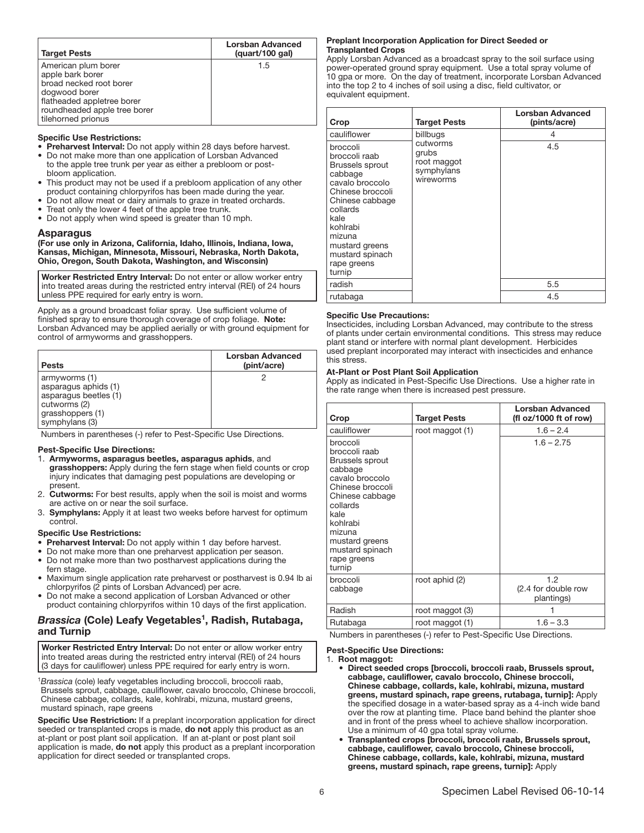| <b>Target Pests</b>                                                                                                                                                     | <b>Lorsban Advanced</b><br>(quart/100 gal) |
|-------------------------------------------------------------------------------------------------------------------------------------------------------------------------|--------------------------------------------|
| American plum borer<br>apple bark borer<br>broad necked root borer<br>dogwood borer<br>flatheaded appletree borer<br>roundheaded apple tree borer<br>tilehorned prionus | 1.5                                        |

#### Specific Use Restrictions:

Preharvest Interval: Do not apply within 28 days before harvest.

- Do not make more than one application of Lorsban Advanced to the apple tree trunk per year as either a prebloom or postbloom application.
- This product may not be used if a prebloom application of any other product containing chlorpyrifos has been made during the year.
- Do not allow meat or dairy animals to graze in treated orchards.
- Treat only the lower 4 feet of the apple tree trunk.
- Do not apply when wind speed is greater than 10 mph.

#### Asparagus

(For use only in Arizona, California, Idaho, Illinois, Indiana, Iowa, Kansas, Michigan, Minnesota, Missouri, Nebraska, North Dakota, Ohio, Oregon, South Dakota, Washington, and Wisconsin)

Worker Restricted Entry Interval: Do not enter or allow worker entry into treated areas during the restricted entry interval (REI) of 24 hours unless PPE required for early entry is worn.

ŗ Apply as a ground broadcast foliar spray. Use sufficient volume of finished spray to ensure thorough coverage of crop foliage. Note: Lorsban Advanced may be applied aerially or with ground equipment for control of armyworms and grasshoppers.

| <b>Pests</b>                                                                                                         | Lorsban Advanced<br>(pint/acre) |
|----------------------------------------------------------------------------------------------------------------------|---------------------------------|
| armyworms (1)<br>asparagus aphids (1)<br>asparagus beetles (1)<br>cutworms (2)<br>grasshoppers (1)<br>symphylans (3) |                                 |

Numbers in parentheses (-) refer to Pest-Specific Use Directions.

#### Pest-Specific Use Directions:

- 1. Armyworms, asparagus beetles, asparagus aphids, and grasshoppers: Apply during the fern stage when field counts or crop injury indicates that damaging pest populations are developing or present.
- **Cutworms:** For best results, apply when the soil is moist and worms are active on or near the soil surface.
- 3. Symphylans: Apply it at least two weeks before harvest for optimum control.

#### Specific Use Restrictions:

- Preharvest Interval: Do not apply within 1 day before harvest.
- Do not make more than one preharvest application per season.
- Do not make more than two postharvest applications during the fern stage.
- Maximum single application rate preharvest or postharvest is 0.94 lb ai chlorpyrifos (2 pints of Lorsban Advanced) per acre.
- Do not make a second application of Lorsban Advanced or other product containing chlorpyrifos within 10 days of the first application.

# *Brassica (*Cole) Leafy Vegetables<sup>1</sup>, Radish, Rutabaga, and Turnip

Worker Restricted Entry Interval: Do not enter or allow worker entry into treated areas during the restricted entry interval (REI) of 24 hours (3 days for cauliflower) unless PPE required for early entry is worn. ļ

<sup>1</sup>*Brassica* (cole) leafy vegetables including broccoli, broccoli raab, Brussels sprout, cabbage, cauliflower, cavalo broccolo, Chinese broccoli, Chinese cabbage, collards, kale, kohlrabi, mizuna, mustard greens, mustard spinach, rape greens

Specific Use Restriction: If a preplant incorporation application for direct seeded or transplanted crops is made, do not apply this product as an at-plant or post plant soil application. If an at-plant or post plant soil application is made, do not apply this product as a preplant incorporation application for direct seeded or transplanted crops.

#### Preplant Incorporation Application for Direct Seeded or Transplanted Crops

Apply Lorsban Advanced as a broadcast spray to the soil surface using power-operated ground spray equipment. Use a total spray volume of 10 gpa or more. On the day of treatment, incorporate Lorsban Advanced into the top 2 to 4 inches of soil using a disc, field cultivator, or equivalent equipment.

| Crop                                                                                                                                                                                                                             | <b>Target Pests</b>                                         | Lorsban Advanced<br>(pints/acre) |
|----------------------------------------------------------------------------------------------------------------------------------------------------------------------------------------------------------------------------------|-------------------------------------------------------------|----------------------------------|
| cauliflower                                                                                                                                                                                                                      | billbugs                                                    | 4                                |
| broccoli<br>broccoli raab<br><b>Brussels sprout</b><br>cabbage<br>cavalo broccolo<br>Chinese broccoli<br>Chinese cabbage<br>collards<br>kale<br>kohlrabi<br>mizuna<br>mustard greens<br>mustard spinach<br>rape greens<br>turnip | cutworms<br>grubs<br>root maggot<br>symphylans<br>wireworms | 4.5                              |
| radish                                                                                                                                                                                                                           |                                                             | 5.5                              |
| rutabaga                                                                                                                                                                                                                         |                                                             | 4.5                              |

#### Specific Use Precautions:

Insecticides, including Lorsban Advanced, may contribute to the stress of plants under certain environmental conditions. This stress may reduce plant stand or interfere with normal plant development. Herbicides used preplant incorporated may interact with insecticides and enhance this stress.

#### At-Plant or Post Plant Soil Application

Apply as indicated in Pest-Specific Use Directions. Use a higher rate in the rate range when there is increased pest pressure.

| Crop                                                                                                                                                                                                                      | <b>Target Pests</b> | Lorsban Advanced<br>(fl oz/1000 ft of row) |
|---------------------------------------------------------------------------------------------------------------------------------------------------------------------------------------------------------------------------|---------------------|--------------------------------------------|
| cauliflower                                                                                                                                                                                                               | root maggot (1)     | $1.6 - 2.4$                                |
| broccoli<br>broccoli raab<br>Brussels sprout<br>cabbage<br>cavalo broccolo<br>Chinese broccoli<br>Chinese cabbage<br>collards<br>kale<br>kohlrabi<br>mizuna<br>mustard greens<br>mustard spinach<br>rape greens<br>turnip |                     | $1.6 - 2.75$                               |
| broccoli<br>cabbage                                                                                                                                                                                                       | root aphid (2)      | 1.2<br>(2.4 for double row<br>plantings)   |
| Radish                                                                                                                                                                                                                    | root maggot (3)     |                                            |
| Rutabaga                                                                                                                                                                                                                  | root maggot (1)     | $1.6 - 3.3$                                |

Numbers in parentheses (-) refer to Pest-Specific Use Directions.

#### Pest-Specific Use Directions:

#### 1. Root maggot:

- Direct seeded crops [broccoli, broccoli raab, Brussels sprout, cabbage, cauliflower, cavalo broccolo, Chinese broccoli, Chinese cabbage, collards, kale, kohlrabi, mizuna, mustard greens, mustard spinach, rape greens, rutabaga, turnip]: Apply the specified dosage in a water-based spray as a 4-inch wide band over the row at planting time. Place band behind the planter shoe and in front of the press wheel to achieve shallow incorporation. Use a minimum of 40 gpa total spray volume.
- Transplanted crops [broccoli, broccoli raab, Brussels sprout, cabbage, cauliflower, cavalo broccolo, Chinese broccoli, Chinese cabbage, collards, kale, kohlrabi, mizuna, mustard greens, mustard spinach, rape greens, turnip]: Apply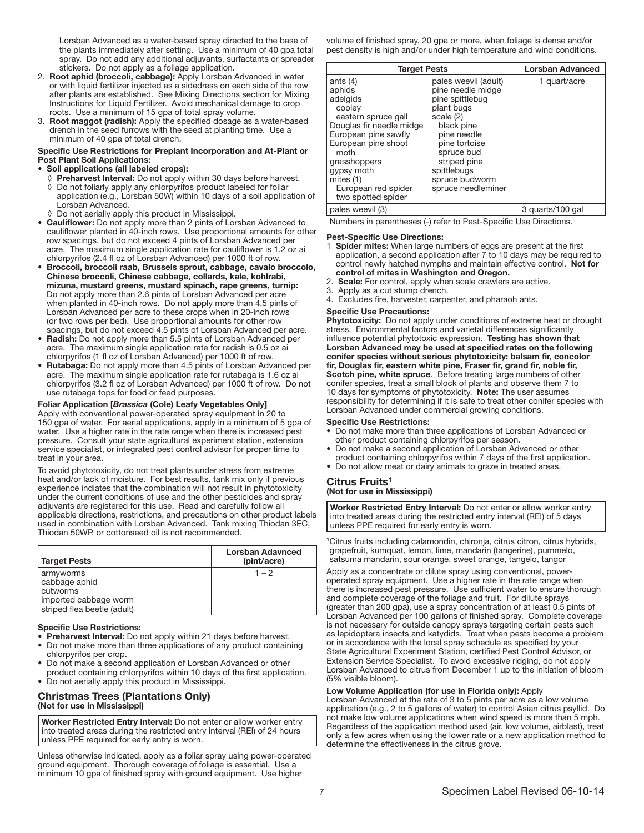Lorsban Advanced as a water-based spray directed to the base of the plants immediately after setting. Use a minimum of 40 gpa total spray. Do not add any additional adjuvants, surfactants or spreader stickers. Do not apply as a foliage application.

- 2. Root aphid (broccoli, cabbage): Apply Lorsban Advanced in water or with liquid fertilizer injected as a sidedress on each side of the row after plants are established. See Mixing Directions section for Mixing Instructions for Liquid Fertilizer. Avoid mechanical damage to crop roots. Use a minimum of 15 gpa of total spray volume.
- 3. Root maggot (radish): Apply the specified dosage as a water-based drench in the seed furrows with the seed at planting time. Use a minimum of 40 gpa of total drench.

#### Specific Use Restrictions for Preplant Incorporation and At-Plant or Post Plant Soil Applications:

#### • Soil applications (all labeled crops):

- ◊ Preharvest Interval: Do not apply within 30 days before harvest. ◊ Do not foliarly apply any chlorpyrifos product labeled for foliar application (e.g., Lorsban 50W) within 10 days of a soil application of Lorsban Advanced.
- ◊ Do not aerially apply this product in Mississippi.
- Cauliflower: Do not apply more than 2 pints of Lorsban Advanced to cauliflower planted in 40-inch rows. Use proportional amounts for other row spacings, but do not exceed 4 pints of Lorsban Advanced per acre. The maximum single application rate for cauliflower is 1.2 oz ai chlorpyrifos (2.4 fl oz of Lorsban Advanced) per 1000 ft of row.
- Broccoli, broccoli raab, Brussels sprout, cabbage, cavalo broccolo, Chinese broccoli, Chinese cabbage, collards, kale, kohlrabi, mizuna, mustard greens, mustard spinach, rape greens, turnip: Do not apply more than 2.6 pints of Lorsban Advanced per acre when planted in 40-inch rows. Do not apply more than 4.5 pints of Lorsban Advanced per acre to these crops when in 20-inch rows (or two rows per bed). Use proportional amounts for other row spacings, but do not exceed 4.5 pints of Lorsban Advanced per acre.
- **Radish:** Do not apply more than 5.5 pints of Lorsban Advanced per acre. The maximum single application rate for radish is 0.5 oz ai chlorpyrifos (1 fl oz of Lorsban Advanced) per 1000 ft of row.
- Rutabaga: Do not apply more than 4.5 pints of Lorsban Advanced per acre. The maximum single application rate for rutabaga is 1.6 oz ai chlorpyrifos (3.2 fl oz of Lorsban Advanced) per 1000 ft of row. Do not use rutabaga tops for food or feed purposes.

#### Foliar Application [*Brassica* (Cole) Leafy Vegetables Only]

Apply with conventional power-operated spray equipment in 20 to 150 gpa of water. For aerial applications, apply in a minimum of 5 gpa of water. Use a higher rate in the rate range when there is increased pest pressure. Consult your state agricultural experiment station, extension service specialist, or integrated pest control advisor for proper time to treat in your area.

To avoid phytotoxicity, do not treat plants under stress from extreme heat and/or lack of moisture. For best results, tank mix only if previous experience indiates that the combination will not result in phytotoxicity under the current conditions of use and the other pesticides and spray adjuvants are registered for this use. Read and carefully follow all applicable directions, restrictions, and precautions on other product labels used in combination with Lorsban Advanced. Tank mixing Thiodan 3EC, Thiodan 50WP, or cottonseed oil is not recommended.

| <b>Target Pests</b>                                                                            | Lorsban Adavnced<br>(pint/acre) |
|------------------------------------------------------------------------------------------------|---------------------------------|
| armyworms<br>cabbage aphid<br>cutworms<br>imported cabbage worm<br>striped flea beetle (adult) | $1 - 2$                         |

#### Ī Specific Use Restrictions:

- Preharvest Interval: Do not apply within 21 days before harvest.
- Do not make more than three applications of any product containing chlorpyrifos per crop.
- Do not make a second application of Lorsban Advanced or other product containing chlorpyrifos within 10 days of the first application.
- Do not aerially apply this product in Mississippi.

#### Christmas Trees (Plantations Only) (Not for use in Mississippi)

Worker Restricted Entry Interval: Do not enter or allow worker entry into treated areas during the restricted entry interval (REI) of 24 hours unless PPE required for early entry is worn. ŗ

Unless otherwise indicated, apply as a foliar spray using power-operated ground equipment. Thorough coverage of foliage is essential. Use a minimum 10 gpa of finished spray with ground equipment. Use higher

volume of finished spray, 20 gpa or more, when foliage is dense and/or pest density is high and/or under high temperature and wind conditions.

| <b>Target Pests</b>                                                                                                                                                                                                                            |                                                                                                                                                                                                                            | <b>Lorsban Advanced</b> |
|------------------------------------------------------------------------------------------------------------------------------------------------------------------------------------------------------------------------------------------------|----------------------------------------------------------------------------------------------------------------------------------------------------------------------------------------------------------------------------|-------------------------|
| ants $(4)$<br>aphids<br>adelgids<br>cooley<br>eastern spruce gall<br>Douglas fir needle midge<br>European pine sawfly<br>European pine shoot<br>moth<br>grasshoppers<br>gypsy moth<br>mites $(1)$<br>European red spider<br>two spotted spider | pales weevil (adult)<br>pine needle midge<br>pine spittlebug<br>plant bugs<br>scale (2)<br>black pine<br>pine needle<br>pine tortoise<br>spruce bud<br>striped pine<br>spittlebugs<br>spruce budworm<br>spruce needleminer | 1 quart/acre            |
| pales weevil (3)                                                                                                                                                                                                                               |                                                                                                                                                                                                                            | 3 quarts/100 gal        |

Numbers in parentheses (-) refer to Pest-Specific Use Directions.

#### Pest-Specific Use Directions:

- 1 Spider mites: When large numbers of eggs are present at the first application, a second application after 7 to 10 days may be required to control newly hatched nymphs and maintain effective control. Not for control of mites in Washington and Oregon.
- 2. Scale: For control, apply when scale crawlers are active.
- 3. Apply as a cut stump drench.
- 4. Excludes fire, harvester, carpenter, and pharaoh ants.

#### Specific Use Precautions:

Phytotoxicity: Do not apply under conditions of extreme heat or drought stress. Environmental factors and varietal differences significantly influence potential phytotoxic expression. Testing has shown that Lorsban Advanced may be used at specified rates on the following conifer species without serious phytotoxicity: balsam fir, concolor fir, Douglas fir, eastern white pine, Fraser fir, grand fir, noble fir, Scotch pine, white spruce. Before treating large numbers of other conifer species, treat a small block of plants and observe them 7 to 10 days for symptoms of phytotoxicity. Note: The user assumes responsibility for determining if it is safe to treat other conifer species with Lorsban Advanced under commercial growing conditions.

#### Specific Use Restrictions:

- Do not make more than three applications of Lorsban Advanced or other product containing chlorpyrifos per season.
- Do not make a second application of Lorsban Advanced or other product containing chlorpyrifos within 7 days of the first application.
- Do not allow meat or dairy animals to graze in treated areas.

#### Citrus Fruits<sup>1</sup>

# (Not for use in Mississippi)

Worker Restricted Entry Interval: Do not enter or allow worker entry into treated areas during the restricted entry interval (REI) of 5 days unless PPE required for early entry is worn. ļ

<sup>1</sup>Citrus fruits including calamondin, chironja, citrus citron, citrus hybrids, grapefruit, kumquat, lemon, lime, mandarin (tangerine), pummelo, satsuma mandarin, sour orange, sweet orange, tangelo, tangor

Apply as a concentrate or dilute spray using conventional, poweroperated spray equipment. Use a higher rate in the rate range when there is increased pest pressure. Use sufficient water to ensure thorough and complete coverage of the foliage and fruit. For dilute sprays (greater than 200 gpa), use a spray concentration of at least 0.5 pints of Lorsban Advanced per 100 gallons of finished spray. Complete coverage is not necessary for outside canopy sprays targeting certain pests such as lepidoptera insects and katydids. Treat when pests become a problem or in accordance with the local spray schedule as specified by your State Agricultural Experiment Station, certified Pest Control Advisor, or Extension Service Specialist. To avoid excessive ridging, do not apply Lorsban Advanced to citrus from December 1 up to the initiation of bloom (5% visible bloom).

#### Low Volume Application (for use in Florida only): Apply

Lorsban Advanced at the rate of 3 to 5 pints per acre as a low volume application (e.g., 2 to 5 gallons of water) to control Asian citrus psyllid. Do not make low volume applications when wind speed is more than 5 mph. Regardless of the application method used (air, low volume, airblast), treat only a few acres when using the lower rate or a new application method to determine the effectiveness in the citrus grove.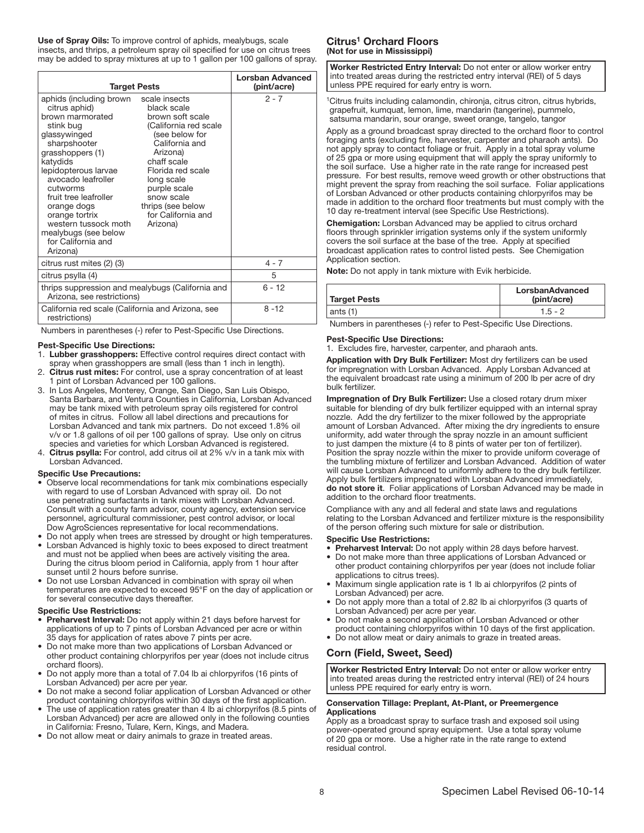Use of Spray Oils: To improve control of aphids, mealybugs, scale insects, and thrips, a petroleum spray oil specified for use on citrus trees may be added to spray mixtures at up to 1 gallon per 100 gallons of spray.

| <b>Target Pests</b>                                                                                                                                                                                                                                                                                                                             |                                                                                                                                                                                                                                                                  | <b>Lorsban Advanced</b><br>(pint/acre) |
|-------------------------------------------------------------------------------------------------------------------------------------------------------------------------------------------------------------------------------------------------------------------------------------------------------------------------------------------------|------------------------------------------------------------------------------------------------------------------------------------------------------------------------------------------------------------------------------------------------------------------|----------------------------------------|
| aphids (including brown<br>citrus aphid)<br>brown marmorated<br>stink bug<br>glassywinged<br>sharpshooter<br>grasshoppers (1)<br>katydids<br>lepidopterous larvae<br>avocado leafroller<br>cutworms<br>fruit tree leafroller<br>orange dogs<br>orange tortrix<br>western tussock moth<br>mealybugs (see below<br>for California and<br>Arizona) | scale insects<br>black scale<br>brown soft scale<br>(California red scale<br>(see below for<br>California and<br>Arizona)<br>chaff scale<br>Florida red scale<br>long scale<br>purple scale<br>snow scale<br>thrips (see below<br>for California and<br>Arizona) | $2 - 7$                                |
| citrus rust mites (2) (3)                                                                                                                                                                                                                                                                                                                       |                                                                                                                                                                                                                                                                  | $4 - 7$                                |
| citrus psylla (4)                                                                                                                                                                                                                                                                                                                               |                                                                                                                                                                                                                                                                  | 5                                      |
| thrips suppression and mealybugs (California and<br>Arizona, see restrictions)                                                                                                                                                                                                                                                                  |                                                                                                                                                                                                                                                                  | $6 - 12$                               |
| California red scale (California and Arizona, see<br>restrictions)                                                                                                                                                                                                                                                                              |                                                                                                                                                                                                                                                                  | $8 - 12$                               |

Numbers in parentheses (-) refer to Pest-Specific Use Directions.

#### Pest-Specific Use Directions:

- 1. Lubber grasshoppers: Effective control requires direct contact with spray when grasshoppers are small (less than 1 inch in length).
- 2. Citrus rust mites: For control, use a spray concentration of at least 1 pint of Lorsban Advanced per 100 gallons.
- 3. In Los Angeles, Monterey, Orange, San Diego, San Luis Obispo, Santa Barbara, and Ventura Counties in California, Lorsban Advanced may be tank mixed with petroleum spray oils registered for control of mites in citrus. Follow all label directions and precautions for Lorsban Advanced and tank mix partners. Do not exceed 1.8% oil v/v or 1.8 gallons of oil per 100 gallons of spray. Use only on citrus species and varieties for which Lorsban Advanced is registered.
- 4. Citrus psylla: For control, add citrus oil at 2% v/v in a tank mix with Lorsban Advanced.

#### Specific Use Precautions:

- Observe local recommendations for tank mix combinations especially with regard to use of Lorsban Advanced with spray oil. Do not use penetrating surfactants in tank mixes with Lorsban Advanced. Consult with a county farm advisor, county agency, extension service personnel, agricultural commissioner, pest control advisor, or local Dow AgroSciences representative for local recommendations.
- Do not apply when trees are stressed by drought or high temperatures. • Lorsban Advanced is highly toxic to bees exposed to direct treatment
- and must not be applied when bees are actively visiting the area. During the citrus bloom period in California, apply from 1 hour after sunset until 2 hours before sunrise.
- Do not use Lorsban Advanced in combination with spray oil when temperatures are expected to exceed 95°F on the day of application or for several consecutive days thereafter.

#### Specific Use Restrictions:

- Preharvest Interval: Do not apply within 21 days before harvest for applications of up to 7 pints of Lorsban Advanced per acre or within 35 days for application of rates above 7 pints per acre.
- Do not make more than two applications of Lorsban Advanced or other product containing chlorpyrifos per year (does not include citrus orchard floors).
- Do not apply more than a total of 7.04 lb ai chlorpyrifos (16 pints of Lorsban Advanced) per acre per year.
- Do not make a second foliar application of Lorsban Advanced or other product containing chlorpyrifos within 30 days of the first application.
- The use of application rates greater than 4 lb ai chlorpyrifos (8.5 pints of Lorsban Advanced) per acre are allowed only in the following counties in California: Fresno, Tulare, Kern, Kings, and Madera.
- Do not allow meat or dairy animals to graze in treated areas.

# Citrus<sup>1</sup> Orchard Floors (Not for use in Mississippi)

Worker Restricted Entry Interval: Do not enter or allow worker entry into treated areas during the restricted entry interval (REI) of 5 days unless PPE required for early entry is worn. ŗ

<sup>1</sup>Citrus fruits including calamondin, chironja, citrus citron, citrus hybrids, grapefruit, kumquat, lemon, lime, mandarin (tangerine), pummelo, satsuma mandarin, sour orange, sweet orange, tangelo, tangor

Apply as a ground broadcast spray directed to the orchard floor to control foraging ants (excluding fire, harvester, carpenter and pharaoh ants). Do not apply spray to contact foliage or fruit. Apply in a total spray volume of 25 gpa or more using equipment that will apply the spray uniformly to the soil surface. Use a higher rate in the rate range for increased pest pressure. For best results, remove weed growth or other obstructions that might prevent the spray from reaching the soil surface. Foliar applications of Lorsban Advanced or other products containing chlorpyrifos may be made in addition to the orchard floor treatments but must comply with the 10 day re-treatment interval (see Specific Use Restrictions).

Chemigation: Lorsban Advanced may be applied to citrus orchard floors through sprinkler irrigation systems only if the system uniformly covers the soil surface at the base of the tree. Apply at specified broadcast application rates to control listed pests. See Chemigation Application section.

Note: Do not apply in tank mixture with Evik herbicide.

| Target Pests | LorsbanAdvanced<br>(pint/acre) |
|--------------|--------------------------------|
| $ $ ants (1) | 1.5 - 2                        |

Numbers in parentheses (-) refer to Pest-Specific Use Directions.

#### Pest-Specific Use Directions:

1. Excludes fire, harvester, carpenter, and pharaoh ants.

Application with Dry Bulk Fertilizer: Most dry fertilizers can be used for impregnation with Lorsban Advanced. Apply Lorsban Advanced at the equivalent broadcast rate using a minimum of 200 lb per acre of dry bulk fertilizer.

Impregnation of Dry Bulk Fertilizer: Use a closed rotary drum mixer suitable for blending of dry bulk fertilizer equipped with an internal spray nozzle. Add the dry fertilizer to the mixer followed by the appropriate amount of Lorsban Advanced. After mixing the dry ingredients to ensure uniformity, add water through the spray nozzle in an amount sufficient to just dampen the mixture (4 to 8 pints of water per ton of fertilizer). Position the spray nozzle within the mixer to provide uniform coverage of the tumbling mixture of fertilizer and Lorsban Advanced. Addition of water will cause Lorsban Advanced to uniformly adhere to the dry bulk fertilizer. Apply bulk fertilizers impregnated with Lorsban Advanced immediately, do not store it. Foliar applications of Lorsban Advanced may be made in addition to the orchard floor treatments.

Compliance with any and all federal and state laws and regulations relating to the Lorsban Advanced and fertilizer mixture is the responsibility of the person offering such mixture for sale or distribution.

#### Specific Use Restrictions:

- Preharvest Interval: Do not apply within 28 days before harvest.
- Do not make more than three applications of Lorsban Advanced or other product containing chlorpyrifos per year (does not include foliar applications to citrus trees).
- Maximum single application rate is 1 lb ai chlorpyrifos (2 pints of Lorsban Advanced) per acre.
- Do not apply more than a total of 2.82 lb ai chlorpyrifos (3 quarts of Lorsban Advanced) per acre per year.
- Do not make a second application of Lorsban Advanced or other
- product containing chlorpyrifos within 10 days of the first application. • Do not allow meat or dairy animals to graze in treated areas.

# Corn (Field, Sweet, Seed)

Worker Restricted Entry Interval: Do not enter or allow worker entry into treated areas during the restricted entry interval (REI) of 24 hours unless PPE required for early entry is worn. ŗ

#### Conservation Tillage: Preplant, At-Plant, or Preemergence Applications

Apply as a broadcast spray to surface trash and exposed soil using power-operated ground spray equipment. Use a total spray volume of 20 gpa or more. Use a higher rate in the rate range to extend residual control.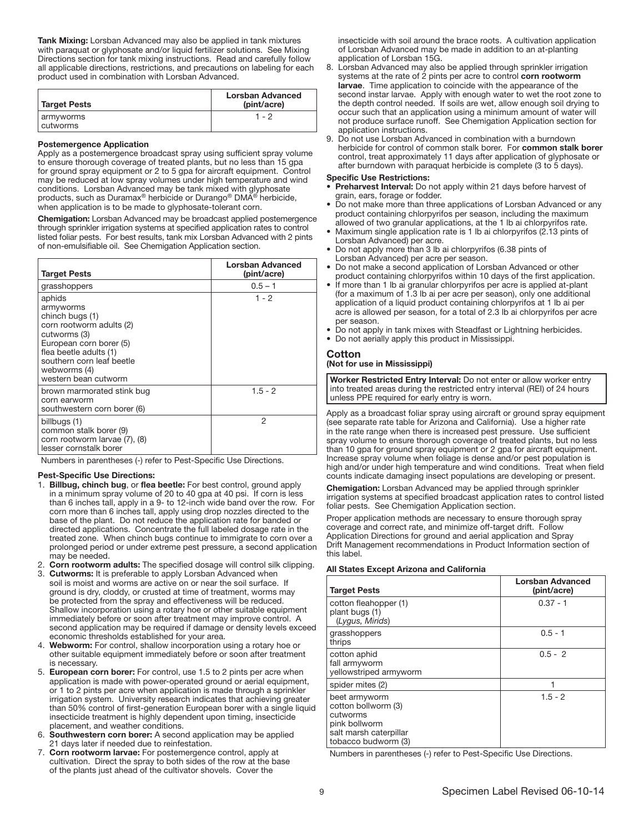Tank Mixing: Lorsban Advanced may also be applied in tank mixtures with paraquat or glyphosate and/or liquid fertilizer solutions. See Mixing Directions section for tank mixing instructions. Read and carefully follow all applicable directions, restrictions, and precautions on labeling for each product used in combination with Lorsban Advanced.

| Target Pests          | Lorsban Advanced<br>(pint/acre) |
|-----------------------|---------------------------------|
| armyworms<br>cutworms | $1 - 2$                         |

#### ٦ Postemergence Application

Apply as a postemergence broadcast spray using sufficient spray volume to ensure thorough coverage of treated plants, but no less than 15 gpa for ground spray equipment or 2 to 5 gpa for aircraft equipment. Control may be reduced at low spray volumes under high temperature and wind conditions. Lorsban Advanced may be tank mixed with glyphosate products, such as Duramax<sup>®</sup> herbicide or Durango<sup>®</sup> DMA<sup>®</sup> herbicide, when application is to be made to glyphosate-tolerant corn.

Chemigation: Lorsban Advanced may be broadcast applied postemergence through sprinkler irrigation systems at specified application rates to control listed foliar pests. For best results, tank mix Lorsban Advanced with 2 pints of non-emulsifiable oil. See Chemigation Application section.

| <b>Target Pests</b>                                                                                                                                                                                          | Lorsban Advanced<br>(pint/acre) |
|--------------------------------------------------------------------------------------------------------------------------------------------------------------------------------------------------------------|---------------------------------|
| grasshoppers                                                                                                                                                                                                 | $0.5 - 1$                       |
| aphids<br>armyworms<br>chinch bugs (1)<br>corn rootworm adults (2)<br>cutworms (3)<br>European corn borer (5)<br>flea beetle adults (1)<br>southern corn leaf beetle<br>webworms (4)<br>western bean cutworm | 1 - 2                           |
| brown marmorated stink bug<br>corn earworm<br>southwestern corn borer (6)                                                                                                                                    | $1.5 - 2$                       |
| billbugs (1)<br>common stalk borer (9)<br>corn rootworm larvae (7), (8)<br>lesser cornstalk borer                                                                                                            | 2                               |

Numbers in parentheses (-) refer to Pest-Specific Use Directions.

#### Pest-Specific Use Directions:

- 1. Billbug, chinch bug, or flea beetle: For best control, ground apply in a minimum spray volume of 20 to 40 gpa at 40 psi. If corn is less than 6 inches tall, apply in a 9- to 12-inch wide band over the row. For corn more than 6 inches tall, apply using drop nozzles directed to the base of the plant. Do not reduce the application rate for banded or directed applications. Concentrate the full labeled dosage rate in the treated zone. When chinch bugs continue to immigrate to corn over a prolonged period or under extreme pest pressure, a second application may be needed.
- 2. Corn rootworm adults: The specified dosage will control silk clipping. 3. Cutworms: It is preferable to apply Lorsban Advanced when
- soil is moist and worms are active on or near the soil surface. If ground is dry, cloddy, or crusted at time of treatment, worms may be protected from the spray and effectiveness will be reduced. Shallow incorporation using a rotary hoe or other suitable equipment immediately before or soon after treatment may improve control. A second application may be required if damage or density levels exceed economic thresholds established for your area.
- 4. Webworm: For control, shallow incorporation using a rotary hoe or other suitable equipment immediately before or soon after treatment is necessary.
- 5. European corn borer: For control, use 1.5 to 2 pints per acre when application is made with power-operated ground or aerial equipment, or 1 to 2 pints per acre when application is made through a sprinkler irrigation system. University research indicates that achieving greater than 50% control of first-generation European borer with a single liquid insecticide treatment is highly dependent upon timing, insecticide placement, and weather conditions.
- 6. Southwestern corn borer: A second application may be applied 21 days later if needed due to reinfestation.
- 7. Corn rootworm larvae: For postemergence control, apply at cultivation. Direct the spray to both sides of the row at the base of the plants just ahead of the cultivator shovels. Cover the

insecticide with soil around the brace roots. A cultivation application of Lorsban Advanced may be made in addition to an at-planting application of Lorsban 15G.

- 8. Lorsban Advanced may also be applied through sprinkler irrigation systems at the rate of 2 pints per acre to control corn rootworm larvae. Time application to coincide with the appearance of the second instar larvae. Apply with enough water to wet the root zone to the depth control needed. If soils are wet, allow enough soil drying to occur such that an application using a minimum amount of water will not produce surface runoff. See Chemigation Application section for application instructions.
- Do not use Lorsban Advanced in combination with a burndown herbicide for control of common stalk borer. For common stalk borer control, treat approximately 11 days after application of glyphosate or after burndown with paraquat herbicide is complete (3 to 5 days).

#### Specific Use Restrictions:

- Preharvest Interval: Do not apply within 21 days before harvest of grain, ears, forage or fodder.
- Do not make more than three applications of Lorsban Advanced or any product containing chlorpyrifos per season, including the maximum allowed of two granular applications, at the 1 lb ai chlorpyrifos rate.
- Maximum single application rate is 1 lb ai chlorpyrifos (2.13 pints of Lorsban Advanced) per acre.
- Do not apply more than 3 lb ai chlorpyrifos (6.38 pints of Lorsban Advanced) per acre per season.
- Do not make a second application of Lorsban Advanced or other product containing chlorpyrifos within 10 days of the first application.
- If more than 1 lb ai granular chlorpyrifos per acre is applied at-plant (for a maximum of 1.3 lb ai per acre per season), only one additional application of a liquid product containing chlorpyrifos at 1 lb ai per acre is allowed per season, for a total of 2.3 lb ai chlorpyrifos per acre per season.
- Do not apply in tank mixes with Steadfast or Lightning herbicides.
- Do not aerially apply this product in Mississippi.

# Cotton

(Not for use in Mississippi)

Worker Restricted Entry Interval: Do not enter or allow worker entry into treated areas during the restricted entry interval (REI) of 24 hours unless PPE required for early entry is worn.

Apply as a broadcast foliar spray using aircraft or ground spray equipment (see separate rate table for Arizona and California). Use a higher rate in the rate range when there is increased pest pressure. Use sufficient spray volume to ensure thorough coverage of treated plants, but no less than 10 gpa for ground spray equipment or 2 gpa for aircraft equipment. Increase spray volume when foliage is dense and/or pest population is high and/or under high temperature and wind conditions. Treat when field counts indicate damaging insect populations are developing or present.

Chemigation: Lorsban Advanced may be applied through sprinkler irrigation systems at specified broadcast application rates to control listed foliar pests. See Chemigation Application section.

Proper application methods are necessary to ensure thorough spray coverage and correct rate, and minimize off-target drift. Follow Application Directions for ground and aerial application and Spray Drift Management recommendations in Product Information section of this label.

#### Ĩ All States Except Arizona and California

| <b>Target Pests</b>                                                                                                | <b>Lorsban Advanced</b><br>(pint/acre) |
|--------------------------------------------------------------------------------------------------------------------|----------------------------------------|
| cotton fleahopper (1)<br>plant bugs (1)<br>(Lygus, Mirids)                                                         | $0.37 - 1$                             |
| grasshoppers<br>thrips                                                                                             | $0.5 - 1$                              |
| cotton aphid<br>fall armyworm<br>yellowstriped armyworm                                                            | $0.5 - 2$                              |
| spider mites (2)                                                                                                   |                                        |
| beet armyworm<br>cotton bollworm (3)<br>cutworms<br>pink bollworm<br>salt marsh caterpillar<br>tobacco budworm (3) | $1.5 - 2$                              |

Numbers in parentheses (-) refer to Pest-Specific Use Directions.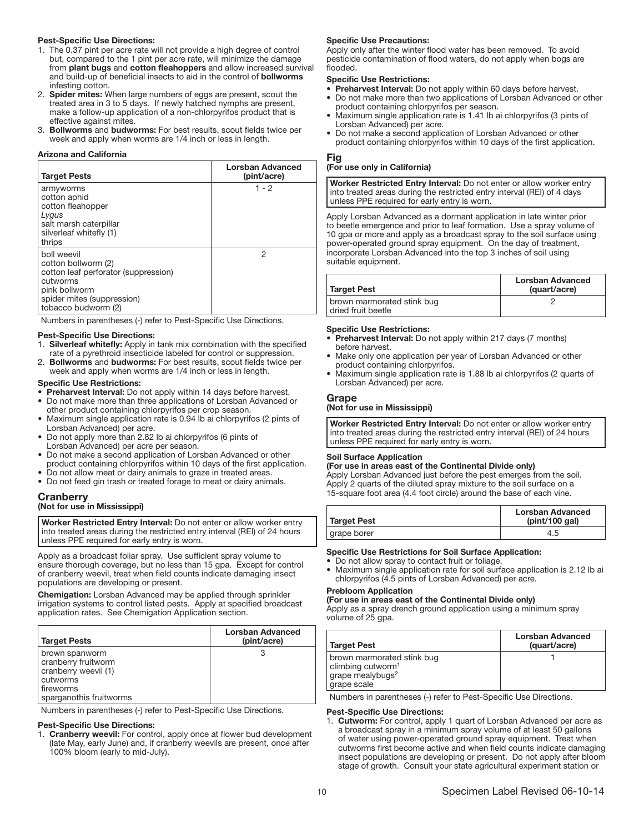#### Pest-Specific Use Directions:

- 1. The 0.37 pint per acre rate will not provide a high degree of control but, compared to the 1 pint per acre rate, will minimize the damage from plant bugs and cotton fleahoppers and allow increased survival and build-up of beneficial insects to aid in the control of bollworms infesting cotton.
- 2. **Spider mites:** When large numbers of eggs are present, scout the treated area in 3 to 5 days. If newly hatched nymphs are present, make a follow-up application of a non-chlorpyrifos product that is effective against mites.
- 3. Bollworms and budworms: For best results, scout fields twice per week and apply when worms are 1/4 inch or less in length.

#### Arizona and California

| <b>Target Pests</b>                                                                                                                                          | <b>Lorsban Advanced</b><br>(pint/acre) |
|--------------------------------------------------------------------------------------------------------------------------------------------------------------|----------------------------------------|
| armyworms<br>cotton aphid<br>cotton fleahopper<br>Lygus<br>salt marsh caterpillar<br>silverleaf whitefly (1)<br>thrips                                       | $1 - 2$                                |
| boll weevil<br>cotton bollworm (2)<br>cotton leaf perforator (suppression)<br>cutworms<br>pink bollworm<br>spider mites (suppression)<br>tobacco budworm (2) | 2                                      |

Numbers in parentheses (-) refer to Pest-Specific Use Directions.

#### Pest-Specific Use Directions:

- 1. Silverleaf whitefly: Apply in tank mix combination with the specified rate of a pyrethroid insecticide labeled for control or suppression.
- 2. Bollworms and budworms: For best results, scout fields twice per week and apply when worms are 1/4 inch or less in length.

#### Specific Use Restrictions:

- Preharvest Interval: Do not apply within 14 days before harvest.
- Do not make more than three applications of Lorsban Advanced or other product containing chlorpyrifos per crop season.
- Maximum single application rate is 0.94 lb ai chlorpyrifos (2 pints of Lorsban Advanced) per acre.
- Do not apply more than 2.82 lb ai chlorpyrifos (6 pints of Lorsban Advanced) per acre per season.
- Do not make a second application of Lorsban Advanced or other product containing chlorpyrifos within 10 days of the first application.
- Do not allow meat or dairy animals to graze in treated areas.
- Do not feed gin trash or treated forage to meat or dairy animals.

# **Cranberry**

# (Not for use in Mississippi)

Worker Restricted Entry Interval: Do not enter or allow worker entry into treated areas during the restricted entry interval (REI) of 24 hours unless PPE required for early entry is worn. ŗ

Apply as a broadcast foliar spray. Use sufficient spray volume to ensure thorough coverage, but no less than 15 gpa. Except for control of cranberry weevil, treat when field counts indicate damaging insect populations are developing or present.

Chemigation: Lorsban Advanced may be applied through sprinkler irrigation systems to control listed pests. Apply at specified broadcast application rates. See Chemigation Application section.

| <b>Target Pests</b>                                                                                               | Lorsban Advanced<br>(pint/acre) |
|-------------------------------------------------------------------------------------------------------------------|---------------------------------|
| brown spanworm<br>cranberry fruitworm<br>cranberry weevil (1)<br>cutworms<br>fireworms<br>sparganothis fruitworms |                                 |

Numbers in parentheses (-) refer to Pest-Specific Use Directions.

#### Pest-Specific Use Directions:

1. Cranberry weevil: For control, apply once at flower bud development (late May, early June) and, if cranberry weevils are present, once after 100% bloom (early to mid-July).

#### Specific Use Precautions:

Apply only after the winter flood water has been removed. To avoid pesticide contamination of flood waters, do not apply when bogs are flooded.

#### Specific Use Restrictions:

- Preharvest Interval: Do not apply within 60 days before harvest.
- Do not make more than two applications of Lorsban Advanced or other product containing chlorpyrifos per season.
- Maximum single application rate is 1.41 lb ai chlorpyrifos (3 pints of Lorsban Advanced) per acre.
- Do not make a second application of Lorsban Advanced or other product containing chlorpyrifos within 10 days of the first application.

# Fig

#### (For use only in California)

Worker Restricted Entry Interval: Do not enter or allow worker entry into treated areas during the restricted entry interval (REI) of 4 days unless PPE required for early entry is worn.

Apply Lorsban Advanced as a dormant application in late winter prior to beetle emergence and prior to leaf formation. Use a spray volume of 10 gpa or more and apply as a broadcast spray to the soil surface using power-operated ground spray equipment. On the day of treatment, incorporate Lorsban Advanced into the top 3 inches of soil using suitable equipment.

| Target Pest                                      | Lorsban Advanced<br>(quart/acre) |
|--------------------------------------------------|----------------------------------|
| brown marmorated stink bug<br>dried fruit beetle |                                  |

#### Ī Specific Use Restrictions:

- **Preharvest Interval:** Do not apply within 217 days (7 months) before harvest.
- Make only one application per year of Lorsban Advanced or other product containing chlorpyrifos.
- Maximum single application rate is 1.88 lb ai chlorpyrifos (2 quarts of Lorsban Advanced) per acre.

#### Grape

֧֖֚֕֕֡

# (Not for use in Mississippi)

Worker Restricted Entry Interval: Do not enter or allow worker entry into treated areas during the restricted entry interval (REI) of 24 hours unless PPE required for early entry is worn.

#### Soil Surface Application

#### (For use in areas east of the Continental Divide only)

Apply Lorsban Advanced just before the pest emerges from the soil. Apply 2 quarts of the diluted spray mixture to the soil surface on a 15-square foot area (4.4 foot circle) around the base of each vine.

| Target Pest | <b>Lorsban Advanced</b><br>(pint/100 gal) |
|-------------|-------------------------------------------|
| grape borer |                                           |
|             |                                           |

#### Specific Use Restrictions for Soil Surface Application:

- Do not allow spray to contact fruit or foliage.
- Maximum single application rate for soil surface application is 2.12 lb ai chlorpyrifos (4.5 pints of Lorsban Advanced) per acre.

#### Prebloom Application

#### (For use in areas east of the Continental Divide only)

Apply as a spray drench ground application using a minimum spray volume of 25 gpa.

| <b>Target Pest</b>                                                                                         | Lorsban Advanced<br>(quart/acre) |
|------------------------------------------------------------------------------------------------------------|----------------------------------|
| brown marmorated stink bug<br>climbing cutworm <sup>1</sup><br>grape mealybugs <sup>2</sup><br>grape scale |                                  |

Numbers in parentheses (-) refer to Pest-Specific Use Directions.

#### Pest-Specific Use Directions:

1. Cutworm: For control, apply 1 quart of Lorsban Advanced per acre as a broadcast spray in a minimum spray volume of at least 50 gallons of water using power-operated ground spray equipment. Treat when cutworms first become active and when field counts indicate damaging insect populations are developing or present. Do not apply after bloom stage of growth. Consult your state agricultural experiment station or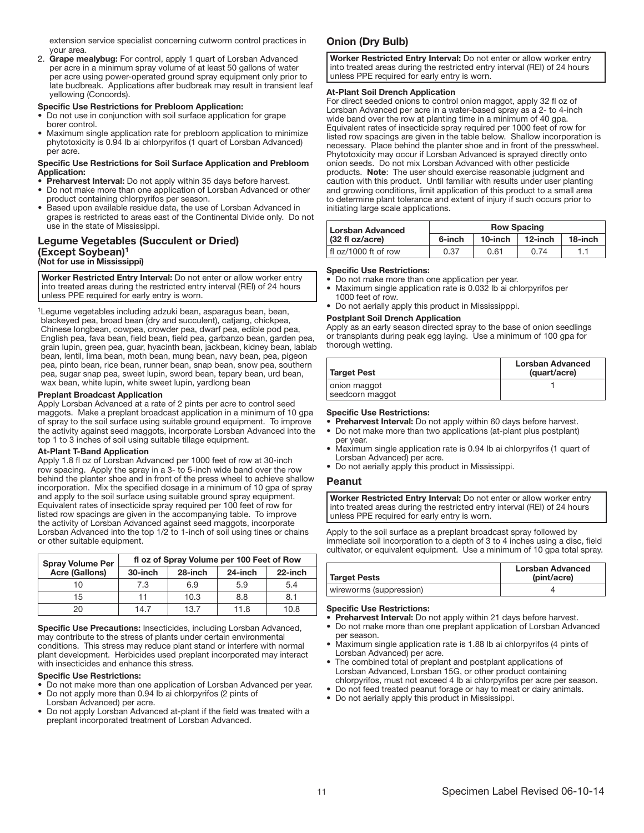extension service specialist concerning cutworm control practices in your area.

2. Grape mealybug: For control, apply 1 quart of Lorsban Advanced per acre in a minimum spray volume of at least 50 gallons of water per acre using power-operated ground spray equipment only prior to late budbreak. Applications after budbreak may result in transient leaf yellowing (Concords).

#### Specific Use Restrictions for Prebloom Application:

- Do not use in conjunction with soil surface application for grape borer control.
- Maximum single application rate for prebloom application to minimize phytotoxicity is 0.94 lb ai chlorpyrifos (1 quart of Lorsban Advanced) per acre.

#### Specific Use Restrictions for Soil Surface Application and Prebloom Application:

- Preharvest Interval: Do not apply within 35 days before harvest.
- Do not make more than one application of Lorsban Advanced or other product containing chlorpyrifos per season.
- Based upon available residue data, the use of Lorsban Advanced in grapes is restricted to areas east of the Continental Divide only. Do not use in the state of Mississippi.

# Legume Vegetables (Succulent or Dried) (Except Soybean)<sup>1</sup> (Not for use in Mississippi)

Worker Restricted Entry Interval: Do not enter or allow worker entry into treated areas during the restricted entry interval (REI) of 24 hours unless PPE required for early entry is worn. ŗ

<sup>1</sup>Legume vegetables including adzuki bean, asparagus bean, bean, blackeyed pea, broad bean (dry and succulent), catjang, chickpea, Chinese longbean, cowpea, crowder pea, dwarf pea, edible pod pea, English pea, fava bean, field bean, field pea, garbanzo bean, garden pea, grain lupin, green pea, guar, hyacinth bean, jackbean, kidney bean, lablab bean, lentil, lima bean, moth bean, mung bean, navy bean, pea, pigeon pea, pinto bean, rice bean, runner bean, snap bean, snow pea, southern pea, sugar snap pea, sweet lupin, sword bean, tepary bean, urd bean, wax bean, white lupin, white sweet lupin, yardlong bean

#### Preplant Broadcast Application

Apply Lorsban Advanced at a rate of 2 pints per acre to control seed maggots. Make a preplant broadcast application in a minimum of 10 gpa of spray to the soil surface using suitable ground equipment. To improve the activity against seed maggots, incorporate Lorsban Advanced into the top 1 to 3 inches of soil using suitable tillage equipment.

#### At-Plant T-Band Application

Apply 1.8 fl oz of Lorsban Advanced per 1000 feet of row at 30-inch row spacing. Apply the spray in a 3- to 5-inch wide band over the row behind the planter shoe and in front of the press wheel to achieve shallow incorporation. Mix the specified dosage in a minimum of 10 gpa of spray and apply to the soil surface using suitable ground spray equipment. Equivalent rates of insecticide spray required per 100 feet of row for listed row spacings are given in the accompanying table. To improve the activity of Lorsban Advanced against seed maggots, incorporate Lorsban Advanced into the top 1/2 to 1-inch of soil using tines or chains or other suitable equipment.

| <b>Spray Volume Per</b> | fl oz of Spray Volume per 100 Feet of Row |         |         |         |
|-------------------------|-------------------------------------------|---------|---------|---------|
| <b>Acre (Gallons)</b>   | 30-inch                                   | 28-inch | 24-inch | 22-inch |
| 10                      | 7.3                                       | 6.9     | 5.9     | 5.4     |
| 15                      | 11                                        | 10.3    | 8.8     | 8.1     |
| 20                      | 14.7                                      | 13.7    | 11.8    | 10.8    |
|                         |                                           |         |         |         |

Ī Specific Use Precautions: Insecticides, including Lorsban Advanced, may contribute to the stress of plants under certain environmental conditions. This stress may reduce plant stand or interfere with normal plant development. Herbicides used preplant incorporated may interact with insecticides and enhance this stress.

#### Specific Use Restrictions:

- Do not make more than one application of Lorsban Advanced per year. • Do not apply more than 0.94 lb ai chlorpyrifos (2 pints of
- Lorsban Advanced) per acre.
- Do not apply Lorsban Advanced at-plant if the field was treated with a preplant incorporated treatment of Lorsban Advanced.

# Onion (Dry Bulb)

Worker Restricted Entry Interval: Do not enter or allow worker entry into treated areas during the restricted entry interval (REI) of 24 hours unless PPE required for early entry is worn.

#### ֧֖֖֖֖֚֕֕֜ At-Plant Soil Drench Application

For direct seeded onions to control onion maggot, apply 32 fl oz of Lorsban Advanced per acre in a water-based spray as a 2- to 4-inch wide band over the row at planting time in a minimum of 40 gpa. Equivalent rates of insecticide spray required per 1000 feet of row for listed row spacings are given in the table below. Shallow incorporation is necessary. Place behind the planter shoe and in front of the presswheel. Phytotoxicity may occur if Lorsban Advanced is sprayed directly onto onion seeds. Do not mix Lorsban Advanced with other pesticide products. Note: The user should exercise reasonable judgment and caution with this product. Until familiar with results under user planting and growing conditions, limit application of this product to a small area to determine plant tolerance and extent of injury if such occurs prior to initiating large scale applications.

| Lorsban Advanced                   | <b>Row Spacing</b> |         |         |         |
|------------------------------------|--------------------|---------|---------|---------|
| $(32 \text{ fl oz/acre})$          | 6-inch             | 10-inch | 12-inch | 18-inch |
| $\frac{1}{2}$ fl oz/1000 ft of row | 0.37               | 0.61    | በ 74    |         |

#### I Specific Use Restrictions:

- Do not make more than one application per year.<br>• Maximum single application rate is 0.032 lb ai ob
- Maximum single application rate is 0.032 lb ai chlorpyrifos per 1000 feet of row.
- Do not aerially apply this product in Mississipppi.

#### Postplant Soil Drench Application

Apply as an early season directed spray to the base of onion seedlings or transplants during peak egg laying. Use a minimum of 100 gpa for thorough wetting.

| Target Pest                     | <b>Lorsban Advanced</b><br>(quart/acre) |
|---------------------------------|-----------------------------------------|
| onion maggot<br>seedcorn maggot |                                         |

#### Specific Use Restrictions:

- Preharvest Interval: Do not apply within 60 days before harvest. • Do not make more than two applications (at-plant plus postplant)
- per year. • Maximum single application rate is 0.94 lb ai chlorpyrifos (1 quart of
- Lorsban Advanced) per acre. • Do not aerially apply this product in Mississippi.

# Peanut

Worker Restricted Entry Interval: Do not enter or allow worker entry into treated areas during the restricted entry interval (REI) of 24 hours unless PPE required for early entry is worn.

ļ Apply to the soil surface as a preplant broadcast spray followed by immediate soil incorporation to a depth of 3 to 4 inches using a disc, field cultivator, or equivalent equipment. Use a minimum of 10 gpa total spray.

| <b>Target Pests</b>     | <b>Lorsban Advanced</b><br>(pint/acre) |
|-------------------------|----------------------------------------|
| wireworms (suppression) |                                        |
|                         |                                        |

#### Specific Use Restrictions:

- Preharvest Interval: Do not apply within 21 days before harvest.<br>• Do not make more than one preplant application of Lorsban Adva
- Do not make more than one preplant application of Lorsban Advanced per season.
- Maximum single application rate is 1.88 lb ai chlorpyrifos (4 pints of Lorsban Advanced) per acre.
- The combined total of preplant and postplant applications of Lorsban Advanced, Lorsban 15G, or other product containing chlorpyrifos, must not exceed 4 lb ai chlorpyrifos per acre per season.
- Do not feed treated peanut forage or hay to meat or dairy animals.
- Do not aerially apply this product in Mississippi.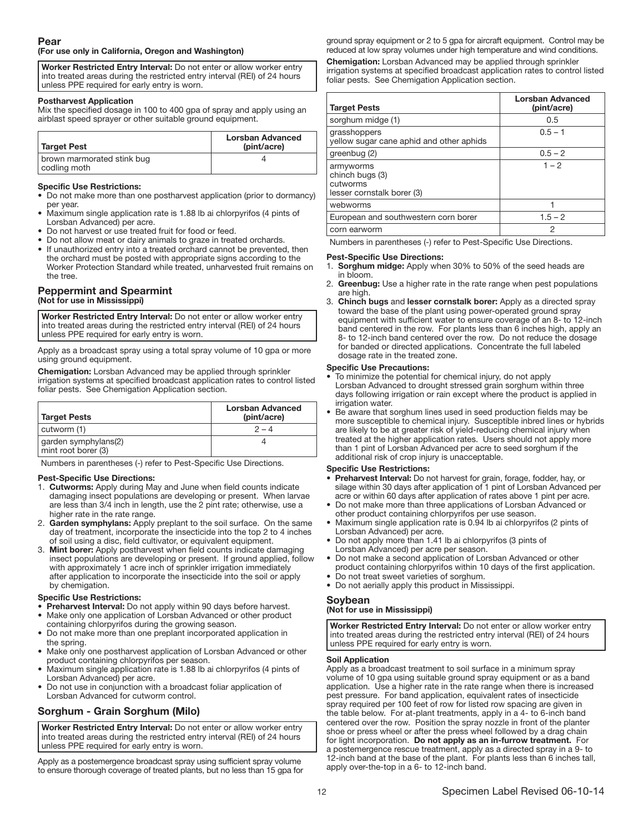# (For use only in California, Oregon and Washington)

Worker Restricted Entry Interval: Do not enter or allow worker entry into treated areas during the restricted entry interval (REI) of 24 hours unless PPE required for early entry is worn. ŗ

#### Postharvest Application

Mix the specified dosage in 100 to 400 gpa of spray and apply using an airblast speed sprayer or other suitable ground equipment.

| Target Pest                                | Lorsban Advanced<br>(pint/acre) |
|--------------------------------------------|---------------------------------|
| brown marmorated stink bug<br>codling moth |                                 |

#### Specific Use Restrictions:

- Do not make more than one postharvest application (prior to dormancy) per year.
- Maximum single application rate is 1.88 lb ai chlorpyrifos (4 pints of Lorsban Advanced) per acre.
- Do not harvest or use treated fruit for food or feed.
- Do not allow meat or dairy animals to graze in treated orchards.
- If unauthorized entry into a treated orchard cannot be prevented, then the orchard must be posted with appropriate signs according to the Worker Protection Standard while treated, unharvested fruit remains on the tree.

# Peppermint and Spearmint (Not for use in Mississippi)

Worker Restricted Entry Interval: Do not enter or allow worker entry into treated areas during the restricted entry interval (REI) of 24 hours unless PPE required for early entry is worn. ֧֖֚֕֕֡

Apply as a broadcast spray using a total spray volume of 10 gpa or more using ground equipment.

Chemigation: Lorsban Advanced may be applied through sprinkler irrigation systems at specified broadcast application rates to control listed foliar pests. See Chemigation Application section.

| Target Pests                                | Lorsban Advanced<br>(pint/acre) |
|---------------------------------------------|---------------------------------|
| cutworm (1)                                 | $2 - 4$                         |
| garden symphylans(2)<br>mint root borer (3) |                                 |

Numbers in parentheses (-) refer to Pest-Specific Use Directions.

#### Pest-Specific Use Directions:

- 1. Cutworms: Apply during May and June when field counts indicate damaging insect populations are developing or present. When larvae are less than 3/4 inch in length, use the 2 pint rate; otherwise, use a higher rate in the rate range.
- 2. Garden symphylans: Apply preplant to the soil surface. On the same day of treatment, incorporate the insecticide into the top 2 to 4 inches of soil using a disc, field cultivator, or equivalent equipment.
- 3. Mint borer: Apply postharvest when field counts indicate damaging insect populations are developing or present. If ground applied, follow with approximately 1 acre inch of sprinkler irrigation immediately after application to incorporate the insecticide into the soil or apply by chemigation.

#### Specific Use Restrictions:

- Preharvest Interval: Do not apply within 90 days before harvest. Make only one application of Lorsban Advanced or other product
- containing chlorpyrifos during the growing season.
- Do not make more than one preplant incorporated application in the spring.
- Make only one postharvest application of Lorsban Advanced or other product containing chlorpyrifos per season.
- Maximum single application rate is 1.88 lb ai chlorpyrifos (4 pints of Lorsban Advanced) per acre.
- Do not use in conjunction with a broadcast foliar application of Lorsban Advanced for cutworm control.

# Sorghum - Grain Sorghum (Milo)

Worker Restricted Entry Interval: Do not enter or allow worker entry into treated areas during the restricted entry interval (REI) of 24 hours unless PPE required for early entry is worn.

ļ Apply as a postemergence broadcast spray using sufficient spray volume to ensure thorough coverage of treated plants, but no less than 15 gpa for ground spray equipment or 2 to 5 gpa for aircraft equipment. Control may be reduced at low spray volumes under high temperature and wind conditions.

Chemigation: Lorsban Advanced may be applied through sprinkler irrigation systems at specified broadcast application rates to control listed foliar pests. See Chemigation Application section.

| <b>Target Pests</b>                                                    | <b>Lorsban Advanced</b><br>(pint/acre) |
|------------------------------------------------------------------------|----------------------------------------|
| sorghum midge (1)                                                      | 0.5                                    |
| grasshoppers<br>yellow sugar cane aphid and other aphids               | $0.5 - 1$                              |
| greenbug (2)                                                           | $0.5 - 2$                              |
| armyworms<br>chinch bugs (3)<br>cutworms<br>lesser cornstalk borer (3) | $1 - 2$                                |
| webworms                                                               |                                        |
| European and southwestern corn borer                                   | $1.5 - 2$                              |
| corn earworm                                                           | 2                                      |

Numbers in parentheses (-) refer to Pest-Specific Use Directions.

#### Pest-Specific Use Directions:

- 1. Sorghum midge: Apply when 30% to 50% of the seed heads are in bloom.
- 2. Greenbug: Use a higher rate in the rate range when pest populations are high.
- 3. Chinch bugs and lesser cornstalk borer: Apply as a directed spray toward the base of the plant using power-operated ground spray equipment with sufficient water to ensure coverage of an 8- to 12-inch band centered in the row. For plants less than 6 inches high, apply an 8- to 12-inch band centered over the row. Do not reduce the dosage for banded or directed applications. Concentrate the full labeled dosage rate in the treated zone.

#### Specific Use Precautions:

- To minimize the potential for chemical injury, do not apply Lorsban Advanced to drought stressed grain sorghum within three days following irrigation or rain except where the product is applied in irrigation water.
- Be aware that sorghum lines used in seed production fields may be more susceptible to chemical injury. Susceptible inbred lines or hybrids are likely to be at greater risk of yield-reducing chemical injury when treated at the higher application rates. Users should not apply more than 1 pint of Lorsban Advanced per acre to seed sorghum if the additional risk of crop injury is unacceptable.

#### Specific Use Restrictions:

- Preharvest Interval: Do not harvest for grain, forage, fodder, hay, or silage within 30 days after application of 1 pint of Lorsban Advanced per acre or within 60 days after application of rates above 1 pint per acre.
- Do not make more than three applications of Lorsban Advanced or other product containing chlorpyrifos per use season.
- Maximum single application rate is 0.94 lb ai chlorpyrifos (2 pints of Lorsban Advanced) per acre.
- Do not apply more than 1.41 lb ai chlorpyrifos (3 pints of Lorsban Advanced) per acre per season.
- Do not make a second application of Lorsban Advanced or other product containing chlorpyrifos within 10 days of the first application.
- Do not treat sweet varieties of sorghum.
- Do not aerially apply this product in Mississippi.

# Soybean

# (Not for use in Mississippi)

Worker Restricted Entry Interval: Do not enter or allow worker entry into treated areas during the restricted entry interval (REI) of 24 hours unless PPE required for early entry is worn.

#### ļ Soil Application

Apply as a broadcast treatment to soil surface in a minimum spray volume of 10 gpa using suitable ground spray equipment or as a band application. Use a higher rate in the rate range when there is increased pest pressure. For band application, equivalent rates of insecticide spray required per 100 feet of row for listed row spacing are given in the table below. For at-plant treatments, apply in a 4- to 6-inch band centered over the row. Position the spray nozzle in front of the planter shoe or press wheel or after the press wheel followed by a drag chain for light incorporation. Do not apply as an in-furrow treatment. For a postemergence rescue treatment, apply as a directed spray in a 9- to 12-inch band at the base of the plant. For plants less than 6 inches tall, apply over-the-top in a 6- to 12-inch band.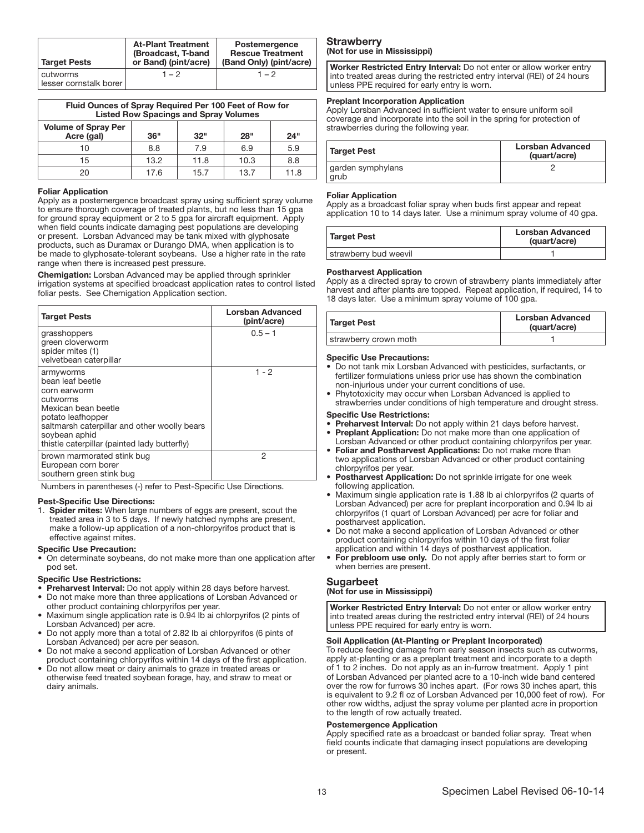| Target Pests                       | <b>At-Plant Treatment</b><br>(Broadcast, T-band<br>or Band) (pint/acre) | Postemergence<br><b>Rescue Treatment</b><br>(Band Only) (pint/acre) |
|------------------------------------|-------------------------------------------------------------------------|---------------------------------------------------------------------|
| cutworms<br>lesser cornstalk borer | $1 - 2$                                                                 | $1 - 2$                                                             |

| Fluid Ounces of Spray Required Per 100 Feet of Row for<br><b>Listed Row Spacings and Spray Volumes</b> |      |      |            |      |
|--------------------------------------------------------------------------------------------------------|------|------|------------|------|
| <b>Volume of Spray Per</b><br>Acre (gal)                                                               | 36"  | 32"  | <b>28"</b> | 24"  |
| 10                                                                                                     | 8.8  | 7.9  | 6.9        | 5.9  |
| 15                                                                                                     | 13.2 | 11.8 | 10.3       | 8.8  |
| 20                                                                                                     | 17.6 | 15.7 | 13.7       | 11.8 |

#### Ī Foliar Application

Apply as a postemergence broadcast spray using sufficient spray volume to ensure thorough coverage of treated plants, but no less than 15 gpa for ground spray equipment or 2 to 5 gpa for aircraft equipment. Apply when field counts indicate damaging pest populations are developing or present. Lorsban Advanced may be tank mixed with glyphosate products, such as Duramax or Durango DMA, when application is to be made to glyphosate-tolerant soybeans. Use a higher rate in the rate range when there is increased pest pressure.

Chemigation: Lorsban Advanced may be applied through sprinkler irrigation systems at specified broadcast application rates to control listed foliar pests. See Chemigation Application section.

| <b>Target Pests</b>                                                                                                                                                                                                    | Lorsban Advanced<br>(pint/acre) |
|------------------------------------------------------------------------------------------------------------------------------------------------------------------------------------------------------------------------|---------------------------------|
| grasshoppers<br>green cloverworm<br>spider mites (1)<br>velvetbean caterpillar                                                                                                                                         | $0.5 - 1$                       |
| armyworms<br>bean leaf beetle<br>corn earworm<br>cutworms<br>Mexican bean beetle<br>potato leafhopper<br>saltmarsh caterpillar and other woolly bears<br>soybean aphid<br>thistle caterpillar (painted lady butterfly) | $1 - 2$                         |
| brown marmorated stink bug<br>European corn borer<br>southern green stink bug                                                                                                                                          | 2                               |

Numbers in parentheses (-) refer to Pest-Specific Use Directions.

#### Pest-Specific Use Directions:

1. Spider mites: When large numbers of eggs are present, scout the treated area in 3 to 5 days. If newly hatched nymphs are present, make a follow-up application of a non-chlorpyrifos product that is effective against mites.

#### Specific Use Precaution:

• On determinate soybeans, do not make more than one application after pod set.

#### Specific Use Restrictions:

- Preharvest Interval: Do not apply within 28 days before harvest.
- Do not make more than three applications of Lorsban Advanced or other product containing chlorpyrifos per year.
- Maximum single application rate is 0.94 lb ai chlorpyrifos (2 pints of Lorsban Advanced) per acre.
- Do not apply more than a total of 2.82 lb ai chlorpyrifos (6 pints of Lorsban Advanced) per acre per season.
- Do not make a second application of Lorsban Advanced or other product containing chlorpyrifos within 14 days of the first application.
- Do not allow meat or dairy animals to graze in treated areas or otherwise feed treated soybean forage, hay, and straw to meat or dairy animals.

## **Strawberry** (Not for use in Mississippi)

Worker Restricted Entry Interval: Do not enter or allow worker entry into treated areas during the restricted entry interval (REI) of 24 hours unless PPE required for early entry is worn. ŗ

#### Preplant Incorporation Application

Apply Lorsban Advanced in sufficient water to ensure uniform soil coverage and incorporate into the soil in the spring for protection of strawberries during the following year.

| <b>Target Pest</b>        | <b>Lorsban Advanced</b><br>(quart/acre) |
|---------------------------|-----------------------------------------|
| garden symphylans<br>grub |                                         |

#### Ī Foliar Application

Apply as a broadcast foliar spray when buds first appear and repeat application 10 to 14 days later. Use a minimum spray volume of 40 gpa.

| Target Pest           | Lorsban Advanced<br>(quart/acre) |
|-----------------------|----------------------------------|
| strawberry bud weevil |                                  |

#### Ī Postharvest Application

Apply as a directed spray to crown of strawberry plants immediately after harvest and after plants are topped. Repeat application, if required, 14 to 18 days later. Use a minimum spray volume of 100 gpa.

| Target Pest           | <b>Lorsban Advanced</b><br>(quart/acre) |
|-----------------------|-----------------------------------------|
| strawberry crown moth |                                         |
|                       |                                         |

#### Specific Use Precautions:

- Do not tank mix Lorsban Advanced with pesticides, surfactants, or fertilizer formulations unless prior use has shown the combination non-injurious under your current conditions of use.
- Phytotoxicity may occur when Lorsban Advanced is applied to strawberries under conditions of high temperature and drought stress.

#### Specific Use Restrictions:

- Preharvest Interval: Do not apply within 21 days before harvest. Preplant Application: Do not make more than one application of Lorsban Advanced or other product containing chlorpyrifos per year.
- Foliar and Postharvest Applications: Do not make more than two applications of Lorsban Advanced or other product containing chlorpyrifos per year.
- Postharvest Application: Do not sprinkle irrigate for one week following application.
- Maximum single application rate is 1.88 lb ai chlorpyrifos (2 quarts of Lorsban Advanced) per acre for preplant incorporation and 0.94 lb ai chlorpyrifos (1 quart of Lorsban Advanced) per acre for foliar and postharvest application.
- Do not make a second application of Lorsban Advanced or other product containing chlorpyrifos within 10 days of the first foliar application and within 14 days of postharvest application.
- For prebloom use only. Do not apply after berries start to form or when berries are present.

#### Sugarbeet

# (Not for use in Mississippi)

Worker Restricted Entry Interval: Do not enter or allow worker entry into treated areas during the restricted entry interval (REI) of 24 hours unless PPE required for early entry is worn.

#### ֧֖֖֖֚֕֕֜ Soil Application (At-Planting or Preplant Incorporated)

To reduce feeding damage from early season insects such as cutworms, apply at-planting or as a preplant treatment and incorporate to a depth of 1 to 2 inches. Do not apply as an in-furrow treatment. Apply 1 pint of Lorsban Advanced per planted acre to a 10-inch wide band centered over the row for furrows 30 inches apart. (For rows 30 inches apart, this is equivalent to 9.2 fl oz of Lorsban Advanced per 10,000 feet of row). For other row widths, adjust the spray volume per planted acre in proportion to the length of row actually treated.

#### Postemergence Application

Apply specified rate as a broadcast or banded foliar spray. Treat when field counts indicate that damaging insect populations are developing or present.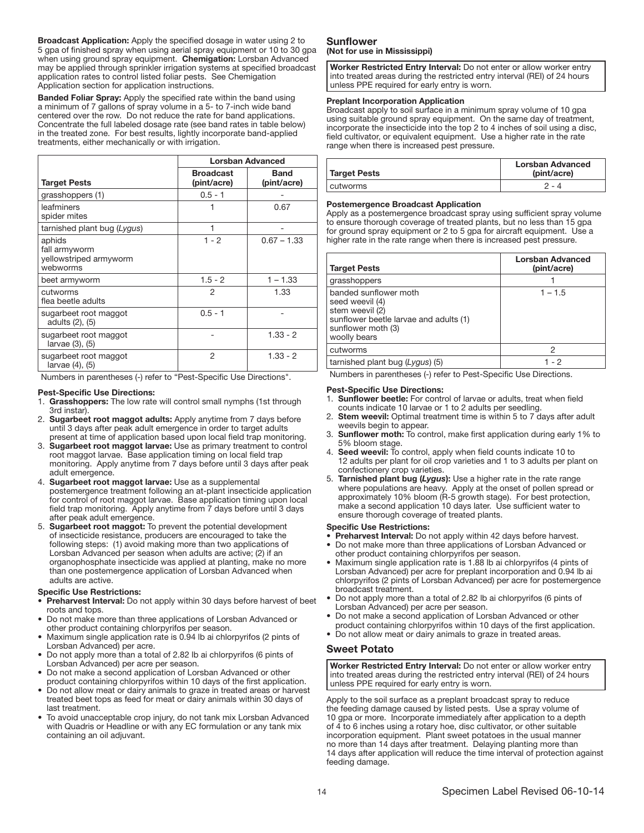Broadcast Application: Apply the specified dosage in water using 2 to 5 gpa of finished spray when using aerial spray equipment or 10 to 30 gpa when using ground spray equipment. Chemigation: Lorsban Advanced may be applied through sprinkler irrigation systems at specified broadcast application rates to control listed foliar pests. See Chemigation Application section for application instructions.

Banded Foliar Spray: Apply the specified rate within the band using a minimum of 7 gallons of spray volume in a 5- to 7-inch wide band centered over the row. Do not reduce the rate for band applications. Concentrate the full labeled dosage rate (see band rates in table below) in the treated zone. For best results, lightly incorporate band-applied treatments, either mechanically or with irrigation.

|                                                               | <b>Lorsban Advanced</b>         |                            |
|---------------------------------------------------------------|---------------------------------|----------------------------|
| <b>Target Pests</b>                                           | <b>Broadcast</b><br>(pint/acre) | <b>Band</b><br>(pint/acre) |
| grasshoppers (1)                                              | $0.5 - 1$                       |                            |
| leafminers<br>spider mites                                    |                                 | 0.67                       |
| tarnished plant bug (Lygus)                                   |                                 |                            |
| aphids<br>fall armyworm<br>yellowstriped armyworm<br>webworms | $1 - 2$                         | $0.67 - 1.33$              |
| beet armyworm                                                 | $1.5 - 2$                       | $1 - 1.33$                 |
| cutworms<br>flea beetle adults                                | 2                               | 1.33                       |
| sugarbeet root maggot<br>adults (2), (5)                      | $0.5 - 1$                       |                            |
| sugarbeet root maggot<br>larvae (3), (5)                      |                                 | $1.33 - 2$                 |
| sugarbeet root maggot<br>larvae (4), (5)                      | 2                               | $1.33 - 2$                 |

Numbers in parentheses (-) refer to "Pest-Specific Use Directions".

#### Pest-Specific Use Directions:

- 1. Grasshoppers: The low rate will control small nymphs (1st through 3rd instar).
- 2. Sugarbeet root maggot adults: Apply anytime from 7 days before until 3 days after peak adult emergence in order to target adults present at time of application based upon local field trap monitoring.
- 3. Sugarbeet root maggot larvae: Use as primary treatment to control root maggot larvae. Base application timing on local field trap monitoring. Apply anytime from 7 days before until 3 days after peak adult emergence.
- 4. Sugarbeet root maggot larvae: Use as a supplemental postemergence treatment following an at-plant insecticide application for control of root maggot larvae. Base application timing upon local field trap monitoring. Apply anytime from 7 days before until 3 days after peak adult emergence.
- 5. Sugarbeet root maggot: To prevent the potential development of insecticide resistance, producers are encouraged to take the following steps: (1) avoid making more than two applications of Lorsban Advanced per season when adults are active; (2) if an organophosphate insecticide was applied at planting, make no more than one postemergence application of Lorsban Advanced when adults are active.

#### Specific Use Restrictions:

- Preharvest Interval: Do not apply within 30 days before harvest of beet roots and tops.
- Do not make more than three applications of Lorsban Advanced or other product containing chlorpyrifos per season.
- Maximum single application rate is 0.94 lb ai chlorpyrifos (2 pints of Lorsban Advanced) per acre.
- Do not apply more than a total of 2.82 lb ai chlorpyrifos (6 pints of Lorsban Advanced) per acre per season.
- Do not make a second application of Lorsban Advanced or other product containing chlorpyrifos within 10 days of the first application.
- Do not allow meat or dairy animals to graze in treated areas or harvest treated beet tops as feed for meat or dairy animals within 30 days of last treatment.
- To avoid unacceptable crop injury, do not tank mix Lorsban Advanced with Quadris or Headline or with any EC formulation or any tank mix containing an oil adjuvant.

# Sunflower (Not for use in Mississippi)

Worker Restricted Entry Interval: Do not enter or allow worker entry into treated areas during the restricted entry interval (REI) of 24 hours unless PPE required for early entry is worn.

#### ŗ Preplant Incorporation Application

Broadcast apply to soil surface in a minimum spray volume of 10 gpa using suitable ground spray equipment. On the same day of treatment, incorporate the insecticide into the top 2 to 4 inches of soil using a disc, field cultivator, or equivalent equipment. Use a higher rate in the rate range when there is increased pest pressure.

| Target Pests | <b>Lorsban Advanced</b><br>(pint/acre) |
|--------------|----------------------------------------|
| l cutworms   | $9 - 4$                                |

#### Ī Postemergence Broadcast Application

Apply as a postemergence broadcast spray using sufficient spray volume to ensure thorough coverage of treated plants, but no less than 15 gpa for ground spray equipment or 2 to 5 gpa for aircraft equipment. Use a higher rate in the rate range when there is increased pest pressure.

| <b>Target Pests</b>                                                                                                                         | Lorsban Advanced<br>(pint/acre) |
|---------------------------------------------------------------------------------------------------------------------------------------------|---------------------------------|
| grasshoppers                                                                                                                                |                                 |
| banded sunflower moth<br>seed weevil (4)<br>stem weevil (2)<br>sunflower beetle larvae and adults (1)<br>sunflower moth (3)<br>woolly bears | $1 - 1.5$                       |
| cutworms                                                                                                                                    | 2                               |
| tarnished plant bug (Lygus) (5)                                                                                                             | 1 - 2                           |

Numbers in parentheses (-) refer to Pest-Specific Use Directions.

#### Pest-Specific Use Directions:

- 1. Sunflower beetle: For control of larvae or adults, treat when field counts indicate 10 larvae or 1 to 2 adults per seedling.
- Stem weevil: Optimal treatment time is within 5 to 7 days after adult weevils begin to appear.
- 3. Sunflower moth: To control, make first application during early 1% to 5% bloom stage.
- Seed weevil: To control, apply when field counts indicate 10 to 12 adults per plant for oil crop varieties and 1 to 3 adults per plant on confectionery crop varieties.
- 5. Tarnished plant bug (*Lygus*): Use a higher rate in the rate range where populations are heavy. Apply at the onset of pollen spread or approximately 10% bloom (R-5 growth stage). For best protection, make a second application 10 days later. Use sufficient water to ensure thorough coverage of treated plants.

#### Specific Use Restrictions:

- Preharvest Interval: Do not apply within 42 days before harvest.
- Do not make more than three applications of Lorsban Advanced or other product containing chlorpyrifos per season.
- Maximum single application rate is 1.88 lb ai chlorpyrifos (4 pints of Lorsban Advanced) per acre for preplant incorporation and 0.94 lb ai chlorpyrifos (2 pints of Lorsban Advanced) per acre for postemergence broadcast treatment.
- Do not apply more than a total of 2.82 lb ai chlorpyrifos (6 pints of Lorsban Advanced) per acre per season.
- Do not make a second application of Lorsban Advanced or other product containing chlorpyrifos within 10 days of the first application.
- Do not allow meat or dairy animals to graze in treated areas.

# Sweet Potato

Worker Restricted Entry Interval: Do not enter or allow worker entry into treated areas during the restricted entry interval (REI) of 24 hours unless PPE required for early entry is worn.

Apply to the soil surface as a preplant broadcast spray to reduce the feeding damage caused by listed pests. Use a spray volume of 10 gpa or more. Incorporate immediately after application to a depth of 4 to 6 inches using a rotary hoe, disc cultivator, or other suitable incorporation equipment. Plant sweet potatoes in the usual manner no more than 14 days after treatment. Delaying planting more than 14 days after application will reduce the time interval of protection against feeding damage.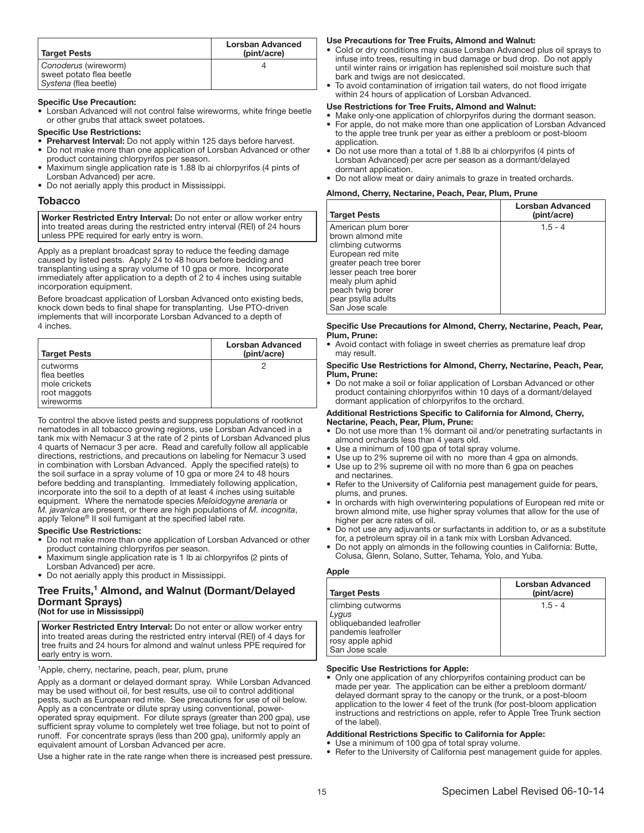| <b>Target Pests</b>                                                       | Lorsban Advanced<br>(pint/acre) |
|---------------------------------------------------------------------------|---------------------------------|
| Conoderus (wireworm)<br>sweet potato flea beetle<br>Systena (flea beetle) |                                 |

#### Specific Use Precaution:

• Lorsban Advanced will not control false wireworms, white fringe beetle or other grubs that attack sweet potatoes.

Specific Use Restrictions:

- Preharvest Interval: Do not apply within 125 days before harvest. • Do not make more than one application of Lorsban Advanced or other
- product containing chlorpyrifos per season. • Maximum single application rate is 1.88 lb ai chlorpyrifos (4 pints of
- Lorsban Advanced) per acre. • Do not aerially apply this product in Mississippi.

#### **Tobacco**

Worker Restricted Entry Interval: Do not enter or allow worker entry into treated areas during the restricted entry interval (REI) of 24 hours unless PPE required for early entry is worn.

ļ Apply as a preplant broadcast spray to reduce the feeding damage caused by listed pests. Apply 24 to 48 hours before bedding and transplanting using a spray volume of 10 gpa or more. Incorporate immediately after application to a depth of 2 to 4 inches using suitable incorporation equipment.

Before broadcast application of Lorsban Advanced onto existing beds, knock down beds to final shape for transplanting. Use PTO-driven implements that will incorporate Lorsban Advanced to a depth of 4 inches.

| <b>Target Pests</b>                                                      | <b>Lorsban Advanced</b><br>(pint/acre) |
|--------------------------------------------------------------------------|----------------------------------------|
| cutworms<br>I flea beetles<br>mole crickets<br>root maggots<br>wireworms |                                        |

٦ To control the above listed pests and suppress populations of rootknot nematodes in all tobacco growing regions, use Lorsban Advanced in a tank mix with Nemacur 3 at the rate of 2 pints of Lorsban Advanced plus 4 quarts of Nemacur 3 per acre. Read and carefully follow all applicable directions, restrictions, and precautions on labeling for Nemacur 3 used in combination with Lorsban Advanced. Apply the specified rate(s) to the soil surface in a spray volume of 10 gpa or more 24 to 48 hours before bedding and transplanting. Immediately following application, incorporate into the soil to a depth of at least 4 inches using suitable equipment. Where the nematode species *Meloidogyne arenaria* or *M. javanica* are present, or there are high populations of *M. incognita*, apply Telone® II soil fumigant at the specified label rate.

#### Specific Use Restrictions:

- Do not make more than one application of Lorsban Advanced or other product containing chlorpyrifos per season.
- Maximum single application rate is 1 lb ai chlorpyrifos (2 pints of Lorsban Advanced) per acre.
- Do not aerially apply this product in Mississippi.

# Tree Fruits,<sup>1</sup> Almond, and Walnut (Dormant/Delayed Dormant Sprays)

(Not for use in Mississippi)

Worker Restricted Entry Interval: Do not enter or allow worker entry into treated areas during the restricted entry interval (REI) of 4 days for tree fruits and 24 hours for almond and walnut unless PPE required for early entry is worn. ŗ

<sup>1</sup>Apple, cherry, nectarine, peach, pear, plum, prune

Apply as a dormant or delayed dormant spray. While Lorsban Advanced may be used without oil, for best results, use oil to control additional pests, such as European red mite. See precautions for use of oil below. Apply as a concentrate or dilute spray using conventional, poweroperated spray equipment. For dilute sprays (greater than 200 gpa), use sufficient spray volume to completely wet tree foliage, but not to point of runoff. For concentrate sprays (less than 200 gpa), uniformly apply an equivalent amount of Lorsban Advanced per acre.

Use a higher rate in the rate range when there is increased pest pressure.

#### Use Precautions for Tree Fruits, Almond and Walnut:

- Cold or dry conditions may cause Lorsban Advanced plus oil sprays to infuse into trees, resulting in bud damage or bud drop. Do not apply until winter rains or irrigation has replenished soil moisture such that bark and twigs are not desiccated.
- To avoid contamination of irrigation tail waters, do not flood irrigate within 24 hours of application of Lorsban Advanced.

#### Use Restrictions for Tree Fruits, Almond and Walnut:

- Make only-one application of chlorpyrifos during the dormant season. • For apple, do not make more than one application of Lorsban Advanced to the apple tree trunk per year as either a prebloom or post-bloom application
- Do not use more than a total of 1.88 lb ai chlorpyrifos (4 pints of Lorsban Advanced) per acre per season as a dormant/delayed dormant application.
- Do not allow meat or dairy animals to graze in treated orchards.

#### Almond, Cherry, Nectarine, Peach, Pear, Plum, Prune

| American plum borer<br>$1.5 - 4$<br>brown almond mite<br>climbing cutworms<br>European red mite<br>greater peach tree borer<br>lesser peach tree borer<br>mealy plum aphid<br>peach twig borer<br>pear psylla adults<br>San Jose scale | <b>Target Pests</b> | Lorsban Advanced<br>(pint/acre) |
|----------------------------------------------------------------------------------------------------------------------------------------------------------------------------------------------------------------------------------------|---------------------|---------------------------------|
|                                                                                                                                                                                                                                        |                     |                                 |

#### Ī Specific Use Precautions for Almond, Cherry, Nectarine, Peach, Pear, Plum, Prune:

• Avoid contact with foliage in sweet cherries as premature leaf drop may result.

#### Specific Use Restrictions for Almond, Cherry, Nectarine, Peach, Pear, Plum, Prune:

• Do not make a soil or foliar application of Lorsban Advanced or other product containing chlorpyrifos within 10 days of a dormant/delayed dormant application of chlorpyrifos to the orchard.

#### Additional Restrictions Specific to California for Almond, Cherry, Nectarine, Peach, Pear, Plum, Prune:

- Do not use more than 1% dormant oil and/or penetrating surfactants in almond orchards less than 4 years old.
- Use a minimum of 100 gpa of total spray volume.
- Use up to 2% supreme oil with no more than 4 gpa on almonds. Use up to 2% supreme oil with no more than 6 gpa on peaches
- and nectarines. • Refer to the University of California pest management guide for pears,
- plums, and prunes.
- In orchards with high overwintering populations of European red mite or brown almond mite, use higher spray volumes that allow for the use of higher per acre rates of oil.
- Do not use any adjuvants or surfactants in addition to, or as a substitute for, a petroleum spray oil in a tank mix with Lorsban Advanced.
- Do not apply on almonds in the following counties in California: Butte, Colusa, Glenn, Solano, Sutter, Tehama, Yolo, and Yuba.

#### Apple

L

| <b>Target Pests</b>                                                                                                 | <b>Lorsban Advanced</b><br>(pint/acre) |
|---------------------------------------------------------------------------------------------------------------------|----------------------------------------|
| climbing cutworms<br>Lygus<br>obliquebanded leafroller<br>pandemis leafroller<br>rosy apple aphid<br>San Jose scale | $1.5 - 4$                              |

#### Specific Use Restrictions for Apple:

• Only one application of any chlorpyrifos containing product can be made per year. The application can be either a prebloom dormant/ delayed dormant spray to the canopy or the trunk, or a post-bloom application to the lower 4 feet of the trunk (for post-bloom application instructions and restrictions on apple, refer to Apple Tree Trunk section of the label).

#### Additional Restrictions Specific to California for Apple:

Use a minimum of 100 gpa of total spray volume. Refer to the University of California pest management guide for apples.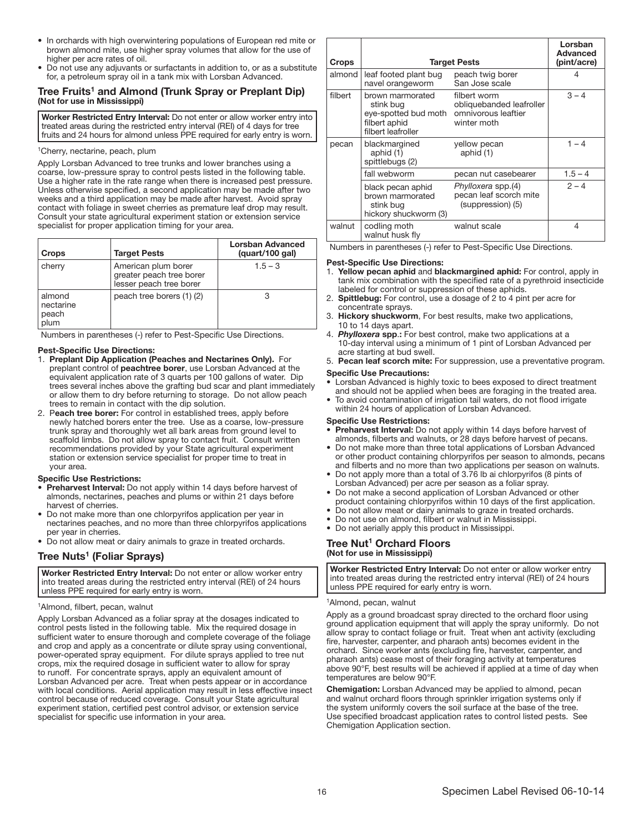- In orchards with high overwintering populations of European red mite or brown almond mite, use higher spray volumes that allow for the use of higher per acre rates of oil.
- Do not use any adjuvants or surfactants in addition to, or as a substitute for, a petroleum spray oil in a tank mix with Lorsban Advanced.

# Tree Fruits<sup>1</sup> and Almond (Trunk Spray or Preplant Dip) (Not for use in Mississippi)

Worker Restricted Entry Interval: Do not enter or allow worker entry into treated areas during the restricted entry interval (REI) of 4 days for tree fruits and 24 hours for almond unless PPE required for early entry is worn. ŗ

# <sup>1</sup>Cherry, nectarine, peach, plum

Apply Lorsban Advanced to tree trunks and lower branches using a coarse, low-pressure spray to control pests listed in the following table. Use a higher rate in the rate range when there is increased pest pressure. Unless otherwise specified, a second application may be made after two weeks and a third application may be made after harvest. Avoid spray contact with foliage in sweet cherries as premature leaf drop may result. Consult your state agricultural experiment station or extension service specialist for proper application timing for your area.

| <b>Crops</b>                         | <b>Target Pests</b>                                                        | <b>Lorsban Advanced</b><br>(quart/100 gal) |
|--------------------------------------|----------------------------------------------------------------------------|--------------------------------------------|
| cherry                               | American plum borer<br>greater peach tree borer<br>lesser peach tree borer | $1.5 - 3$                                  |
| almond<br>nectarine<br>peach<br>plum | peach tree borers (1) (2)                                                  |                                            |

Numbers in parentheses (-) refer to Pest-Specific Use Directions.

#### Pest-Specific Use Directions:

- 1. Preplant Dip Application (Peaches and Nectarines Only). For preplant control of peachtree borer, use Lorsban Advanced at the equivalent application rate of 3 quarts per 100 gallons of water. Dip trees several inches above the grafting bud scar and plant immediately or allow them to dry before returning to storage. Do not allow peach trees to remain in contact with the dip solution.
- 2. Peach tree borer: For control in established trees, apply before newly hatched borers enter the tree. Use as a coarse, low-pressure trunk spray and thoroughly wet all bark areas from ground level to scaffold limbs. Do not allow spray to contact fruit. Consult written recommendations provided by your State agricultural experiment station or extension service specialist for proper time to treat in your area.

#### Specific Use Restrictions:

- Preharvest Interval: Do not apply within 14 days before harvest of almonds, nectarines, peaches and plums or within 21 days before harvest of cherries.
- Do not make more than one chlorpyrifos application per year in nectarines peaches, and no more than three chlorpyrifos applications per year in cherries.
- Do not allow meat or dairy animals to graze in treated orchards.

# Tree Nuts<sup>1</sup> (Foliar Sprays)

Worker Restricted Entry Interval: Do not enter or allow worker entry into treated areas during the restricted entry interval (REI) of 24 hours unless PPE required for early entry is worn.

#### ŗ <sup>1</sup>Almond, filbert, pecan, walnut

Apply Lorsban Advanced as a foliar spray at the dosages indicated to control pests listed in the following table. Mix the required dosage in sufficient water to ensure thorough and complete coverage of the foliage and crop and apply as a concentrate or dilute spray using conventional, power-operated spray equipment. For dilute sprays applied to tree nut crops, mix the required dosage in sufficient water to allow for spray to runoff. For concentrate sprays, apply an equivalent amount of Lorsban Advanced per acre. Treat when pests appear or in accordance with local conditions. Aerial application may result in less effective insect control because of reduced coverage. Consult your State agricultural experiment station, certified pest control advisor, or extension service specialist for specific use information in your area.

| <b>Crops</b> | <b>Target Pests</b>                                                                          |                                                                                | Lorsban<br>Advanced<br>(pint/acre) |
|--------------|----------------------------------------------------------------------------------------------|--------------------------------------------------------------------------------|------------------------------------|
| almond       | leaf footed plant bug<br>navel orangeworm                                                    | peach twig borer<br>San Jose scale                                             |                                    |
| filbert      | brown marmorated<br>stink bug<br>eye-spotted bud moth<br>filbert aphid<br>filbert leafroller | filbert worm<br>obliquebanded leafroller<br>omnivorous leaftier<br>winter moth | $3 - 4$                            |
| pecan        | blackmargined<br>aphid (1)<br>spittlebugs (2)                                                | yellow pecan<br>aphid (1)                                                      | $1 - 4$                            |
|              | fall webworm                                                                                 | pecan nut casebearer                                                           | $1.5 - 4$                          |
|              | black pecan aphid<br>brown marmorated<br>stink bug<br>hickory shuckworm (3)                  | Phylloxera spp.(4)<br>pecan leaf scorch mite<br>(suppression) (5)              | $2 - 4$                            |
| walnut       | codling moth<br>walnut husk fly                                                              | walnut scale                                                                   | 4                                  |

Numbers in parentheses (-) refer to Pest-Specific Use Directions.

#### Pest-Specific Use Directions:

- 1. Yellow pecan aphid and blackmargined aphid: For control, apply in tank mix combination with the specified rate of a pyrethroid insecticide labeled for control or suppression of these aphids.
- 2. Spittlebug: For control, use a dosage of 2 to 4 pint per acre for concentrate sprays.
- 3. Hickory shuckworm, For best results, make two applications, 10 to 14 days apart.
- 4. *Phylloxera* spp.: For best control, make two applications at a 10-day interval using a minimum of 1 pint of Lorsban Advanced per acre starting at bud swell.
- 5. Pecan leaf scorch mite: For suppression, use a preventative program.

#### Specific Use Precautions:

- Lorsban Advanced is highly toxic to bees exposed to direct treatment and should not be applied when bees are foraging in the treated area.
- To avoid contamination of irrigation tail waters, do not flood irrigate within 24 hours of application of Lorsban Advanced.

#### Specific Use Restrictions:

- Preharvest Interval: Do not apply within 14 days before harvest of almonds, filberts and walnuts, or 28 days before harvest of pecans.
- Do not make more than three total applications of Lorsban Advanced or other product containing chlorpyrifos per season to almonds, pecans and filberts and no more than two applications per season on walnuts.
- Do not apply more than a total of 3.76 lb ai chlorpyrifos (8 pints of Lorsban Advanced) per acre per season as a foliar spray.
- Do not make a second application of Lorsban Advanced or other product containing chlorpyrifos within 10 days of the first application.
- Do not allow meat or dairy animals to graze in treated orchards.
- Do not use on almond, filbert or walnut in Mississippi.
- Do not aerially apply this product in Mississippi.

### Tree Nut<sup>1</sup> Orchard Floors (Not for use in Mississippi)

Worker Restricted Entry Interval: Do not enter or allow worker entry into treated areas during the restricted entry interval (REI) of 24 hours unless PPE required for early entry is worn.

#### ֧֖֚֕֕֜ <sup>1</sup>Almond, pecan, walnut

Apply as a ground broadcast spray directed to the orchard floor using ground application equipment that will apply the spray uniformly. Do not allow spray to contact foliage or fruit. Treat when ant activity (excluding fire, harvester, carpenter, and pharaoh ants) becomes evident in the orchard. Since worker ants (excluding fire, harvester, carpenter, and pharaoh ants) cease most of their foraging activity at temperatures above 90°F, best results will be achieved if applied at a time of day when temperatures are below 90°F.

Chemigation: Lorsban Advanced may be applied to almond, pecan and walnut orchard floors through sprinkler irrigation systems only if the system uniformly covers the soil surface at the base of the tree. Use specified broadcast application rates to control listed pests. See Chemigation Application section.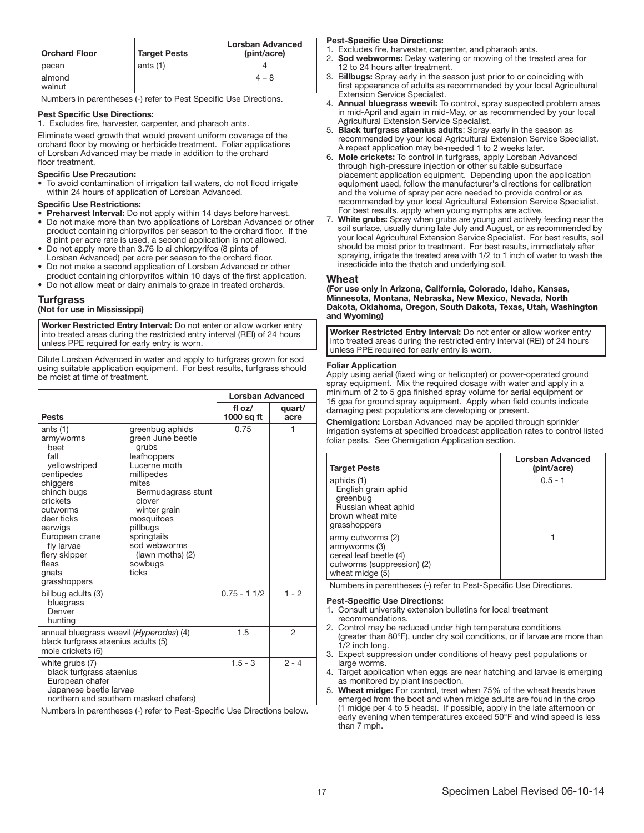| <b>Orchard Floor</b> | <b>Target Pests</b> | Lorsban Advanced<br>(pint/acre) |
|----------------------|---------------------|---------------------------------|
| pecan                | ants $(1)$          |                                 |
| almond<br>walnut     |                     | $4 - 8$                         |

Numbers in parentheses (-) refer to Pest Specific Use Directions.

#### Pest Specific Use Directions:

1. Excludes fire, harvester, carpenter, and pharaoh ants.

Eliminate weed growth that would prevent uniform coverage of the orchard floor by mowing or herbicide treatment. Foliar applications of Lorsban Advanced may be made in addition to the orchard floor treatment.

# Specific Use Precaution:

• To avoid contamination of irrigation tail waters, do not flood irrigate within 24 hours of application of Lorsban Advanced.

#### Specific Use Restrictions:

- Preharvest Interval: Do not apply within 14 days before harvest. • Do not make more than two applications of Lorsban Advanced or other product containing chlorpyrifos per season to the orchard floor. If the
- 8 pint per acre rate is used, a second application is not allowed. • Do not apply more than 3.76 lb ai chlorpyrifos (8 pints of
- Lorsban Advanced) per acre per season to the orchard floor. • Do not make a second application of Lorsban Advanced or other product containing chlorpyrifos within 10 days of the first application.
- 
- Do not allow meat or dairy animals to graze in treated orchards.

#### **Turfgrass** (Not for use in Mississippi)

Worker Restricted Entry Interval: Do not enter or allow worker entry into treated areas during the restricted entry interval (REI) of 24 hours unless PPE required for early entry is worn. ļ

Dilute Lorsban Advanced in water and apply to turfgrass grown for sod using suitable application equipment. For best results, turfgrass should be moist at time of treatment.

|                                                                                                                                                                                                                                       |                                                                                                                                                                                                                                                      | <b>Lorsban Advanced</b> |                |
|---------------------------------------------------------------------------------------------------------------------------------------------------------------------------------------------------------------------------------------|------------------------------------------------------------------------------------------------------------------------------------------------------------------------------------------------------------------------------------------------------|-------------------------|----------------|
| <b>Pests</b>                                                                                                                                                                                                                          |                                                                                                                                                                                                                                                      | fl $oz/$<br>1000 sq ft  | quart/<br>acre |
| ants $(1)$<br>armyworms<br>heet<br>fall<br>vellowstriped<br>centipedes<br>chiggers<br>chinch bugs<br>crickets<br>cutworms<br>deer ticks<br>earwigs<br>European crane<br>fly larvae<br>fiery skipper<br>fleas<br>gnats<br>grasshoppers | greenbug aphids<br>green June beetle<br>grubs<br>leafhoppers<br>Lucerne moth<br>millipedes<br>mites<br>Bermudagrass stunt<br>clover<br>winter grain<br>mosquitoes<br>pillbugs<br>springtails<br>sod webworms<br>(lawn moths) (2)<br>sowbugs<br>ticks | 0.75                    | 1              |
| billbug adults (3)<br>bluegrass<br>Denver<br>hunting                                                                                                                                                                                  |                                                                                                                                                                                                                                                      | $0.75 - 1.1/2$          | $1 - 2$        |
| annual bluegrass weevil (Hyperodes) (4)<br>black turfgrass ataenius adults (5)<br>mole crickets (6)                                                                                                                                   |                                                                                                                                                                                                                                                      | 1.5                     | $\overline{2}$ |
| white grubs (7)<br>black turfgrass ataenius<br>European chafer<br>Japanese beetle larvae<br>northern and southern masked chafers)                                                                                                     |                                                                                                                                                                                                                                                      | $1.5 - 3$               | $2 - 4$        |

Numbers in parentheses (-) refer to Pest-Specific Use Directions below.

#### Pest-Specific Use Directions:

- 1. Excludes fire, harvester, carpenter, and pharaoh ants. 2. Sod webworms: Delay watering or mowing of the treated area for 12 to 24 hours after treatment.
- 3. Billbugs: Spray early in the season just prior to or coinciding with
- first appearance of adults as recommended by your local Agricultural Extension Service Specialist.
- 4. Annual bluegrass weevil: To control, spray suspected problem areas in mid-April and again in mid-May, or as recommended by your local Agricultural Extension Service Specialist.
- 5. Black turfgrass ataenius adults: Spray early in the season as recommended by your local Agricultural Extension Service Specialist. A repeat application may be needed 1 to 2 weeks later.
- 6. Mole crickets: To control in turfgrass, apply Lorsban Advanced through high-pressure injection or other suitable subsurface placement application equipment. Depending upon the application equipment used, follow the manufacturer's directions for calibration and the volume of spray per acre needed to provide control or as recommended by your local Agricultural Extension Service Specialist. For best results, apply when young nymphs are active.
- 7. White grubs: Spray when grubs are young and actively feeding near the soil surface, usually during late July and August, or as recommended by your local Agricultural Extension Service Specialist. For best results, soil should be moist prior to treatment. For best results, immediately after spraying, irrigate the treated area with 1/2 to 1 inch of water to wash the insecticide into the thatch and underlying soil.

#### Wheat

(For use only in Arizona, California, Colorado, Idaho, Kansas, Minnesota, Montana, Nebraska, New Mexico, Nevada, North Dakota, Oklahoma, Oregon, South Dakota, Texas, Utah, Washington and Wyoming)

Worker Restricted Entry Interval: Do not enter or allow worker entry into treated areas during the restricted entry interval (REI) of 24 hours unless PPE required for early entry is worn. ŗ

#### Foliar Application

Apply using aerial (fixed wing or helicopter) or power-operated ground spray equipment. Mix the required dosage with water and apply in a minimum of 2 to 5 gpa finished spray volume for aerial equipment or 15 gpa for ground spray equipment. Apply when field counts indicate damaging pest populations are developing or present.

Chemigation: Lorsban Advanced may be applied through sprinkler irrigation systems at specified broadcast application rates to control listed foliar pests. See Chemigation Application section.

| <b>Target Pests</b>                                                                                           | <b>Lorsban Advanced</b><br>(pint/acre) |
|---------------------------------------------------------------------------------------------------------------|----------------------------------------|
| aphids (1)<br>English grain aphid<br>greenbug<br>Russian wheat aphid<br>brown wheat mite<br>grasshoppers      | $0.5 - 1$                              |
| army cutworms (2)<br>armyworms (3)<br>cereal leaf beetle (4)<br>cutworms (suppression) (2)<br>wheat midge (5) |                                        |

Numbers in parentheses (-) refer to Pest-Specific Use Directions.

#### Pest-Specific Use Directions:

- 1. Consult university extension bulletins for local treatment recommendations.
- 2. Control may be reduced under high temperature conditions (greater than 80°F), under dry soil conditions, or if larvae are more than 1/2 inch long.
- 3. Expect suppression under conditions of heavy pest populations or large worms.
- 4. Target application when eggs are near hatching and larvae is emerging as monitored by plant inspection.
- 5. Wheat midge: For control, treat when 75% of the wheat heads have emerged from the boot and when midge adults are found in the crop (1 midge per 4 to 5 heads). If possible, apply in the late afternoon or early evening when temperatures exceed 50°F and wind speed is less than 7 mph.